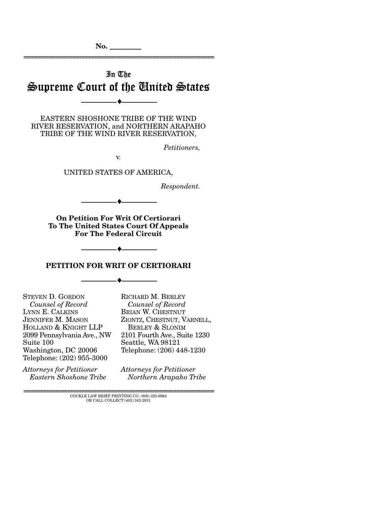# In The Supreme Court of the United States

--------------------------------- ♦ ---------------------------------

================================================================

EASTERN SHOSHONE TRIBE OF THE WIND RIVER RESERVATION, and NORTHERN ARAPAHO TRIBE OF THE WIND RIVER RESERVATION,

*Petitioners,* 

v.

UNITED STATES OF AMERICA,

*Respondent.* 

**On Petition For Writ Of Certiorari To The United States Court Of Appeals For The Federal Circuit** 

--------------------------------- ♦ ---------------------------------

#### **PETITION FOR WRIT OF CERTIORARI**

--------------------------------- ♦ ---------------------------------

--------------------------------- ♦ ---------------------------------

STEVEN D. GORDON *Counsel of Record*  LYNN E. CALKINS JENNIFER M. MASON HOLLAND & KNIGHT LLP 2099 Pennsylvania Ave., NW Suite 100 Washington, DC 20006 Telephone: (202) 955-3000

*Attorneys for Petitioner Eastern Shoshone Tribe*  RICHARD M. BERLEY *Counsel of Record* BRIAN W. CHESTNUT ZIONTZ, CHESTNUT, VARNELL, BERLEY & SLONIM 2101 Fourth Ave., Suite 1230 Seattle, WA 98121 Telephone: (206) 448-1230

*Attorneys for Petitioner Northern Arapaho Tribe* 

 ${\rm COCKLE}$  LAW BRIEF PRINTING CO. (800) 225-6964 OR CALL COLLECT (402) 342-2831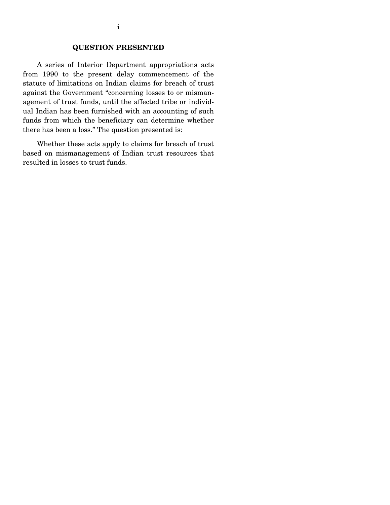## **QUESTION PRESENTED**

 A series of Interior Department appropriations acts from 1990 to the present delay commencement of the statute of limitations on Indian claims for breach of trust against the Government "concerning losses to or mismanagement of trust funds, until the affected tribe or individual Indian has been furnished with an accounting of such funds from which the beneficiary can determine whether there has been a loss." The question presented is:

 Whether these acts apply to claims for breach of trust based on mismanagement of Indian trust resources that resulted in losses to trust funds.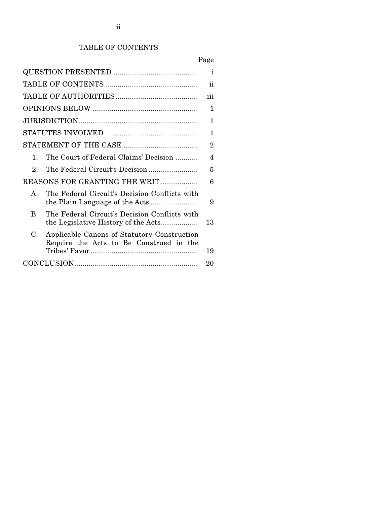# TABLE OF CONTENTS

|                                                                                              | $\mathbf{i}$   |
|----------------------------------------------------------------------------------------------|----------------|
|                                                                                              | ii             |
|                                                                                              | iii            |
|                                                                                              | 1              |
|                                                                                              | 1              |
|                                                                                              | 1              |
|                                                                                              | $\overline{2}$ |
| The Court of Federal Claims' Decision<br>1.                                                  | 4              |
| $2^{\circ}$                                                                                  | 5              |
| REASONS FOR GRANTING THE WRIT                                                                | 6              |
| The Federal Circuit's Decision Conflicts with<br>$\mathbf{A}$                                | 9              |
| The Federal Circuit's Decision Conflicts with<br>$\bf{B}$                                    | 13             |
| Applicable Canons of Statutory Construction<br>C.<br>Require the Acts to Be Construed in the | 19             |
|                                                                                              | 20             |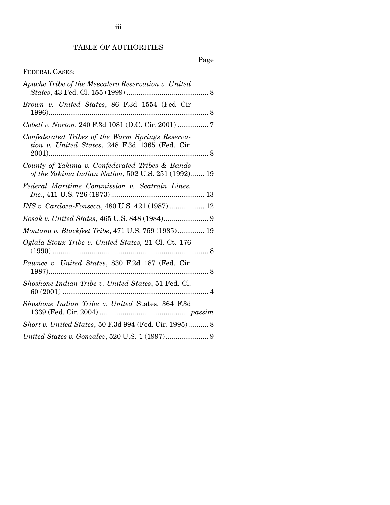# TABLE OF AUTHORITIES

# Page

## FEDERAL CASES:

| Apache Tribe of the Mescalero Reservation v. United                                                    |
|--------------------------------------------------------------------------------------------------------|
| Brown v. United States, 86 F.3d 1554 (Fed Cir<br>$1996)$<br>. 8                                        |
| Cobell v. Norton, 240 F.3d 1081 (D.C. Cir. 2001)  7                                                    |
| Confederated Tribes of the Warm Springs Reserva-<br>tion v. United States, 248 F.3d 1365 (Fed. Cir.    |
| County of Yakima v. Confederated Tribes & Bands<br>of the Yakima Indian Nation, 502 U.S. 251 (1992) 19 |
| Federal Maritime Commission v. Seatrain Lines,                                                         |
| INS v. Cardoza-Fonseca, 480 U.S. 421 (1987)  12                                                        |
|                                                                                                        |
| Montana v. Blackfeet Tribe, 471 U.S. 759 (1985) 19                                                     |
| Oglala Sioux Tribe v. United States, 21 Cl. Ct. 176<br>. 8                                             |
| Pawnee v. United States, 830 F.2d 187 (Fed. Cir.                                                       |
| Shoshone Indian Tribe v. United States, 51 Fed. Cl.                                                    |
| Shoshone Indian Tribe v. United States, 364 F.3d                                                       |
| Short v. United States, 50 F.3d 994 (Fed. Cir. 1995)  8                                                |
|                                                                                                        |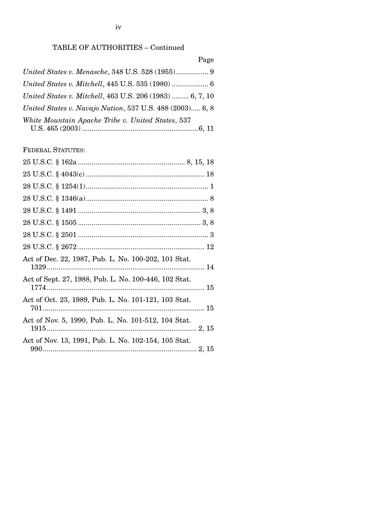# TABLE OF AUTHORITIES – Continued

## Page

| United States v. Mitchell, 463 U.S. 206 (1983)  6, 7, 10 |  |
|----------------------------------------------------------|--|
| United States v. Navajo Nation, 537 U.S. 488 (2003) 6, 8 |  |
| White Mountain Apache Tribe v. United States, 537        |  |

FEDERAL STATUTES:

| Act of Dec. 22, 1987, Pub. L. No. 100-202, 101 Stat.  |  |
|-------------------------------------------------------|--|
| Act of Sept. 27, 1988, Pub. L. No. 100-446, 102 Stat. |  |
| Act of Oct. 23, 1989, Pub. L. No. 101-121, 103 Stat.  |  |
| Act of Nov. 5, 1990, Pub. L. No. 101-512, 104 Stat.   |  |
| Act of Nov. 13, 1991, Pub. L. No. 102-154, 105 Stat.  |  |
|                                                       |  |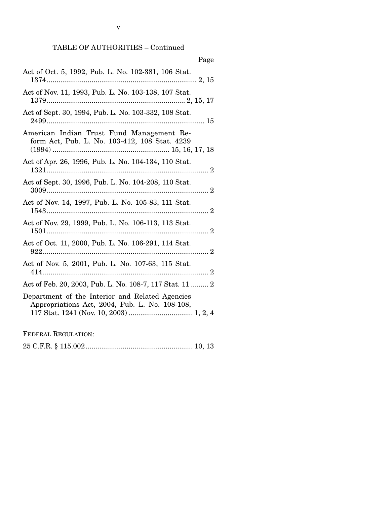# TABLE OF AUTHORITIES – Continued

| rage                                                                                              |
|---------------------------------------------------------------------------------------------------|
| Act of Oct. 5, 1992, Pub. L. No. 102-381, 106 Stat.                                               |
| Act of Nov. 11, 1993, Pub. L. No. 103-138, 107 Stat.                                              |
| Act of Sept. 30, 1994, Pub. L. No. 103-332, 108 Stat.                                             |
| American Indian Trust Fund Management Re-<br>form Act, Pub. L. No. 103-412, 108 Stat. 4239        |
| Act of Apr. 26, 1996, Pub. L. No. 104-134, 110 Stat.                                              |
| Act of Sept. 30, 1996, Pub. L. No. 104-208, 110 Stat.                                             |
| Act of Nov. 14, 1997, Pub. L. No. 105-83, 111 Stat.                                               |
| Act of Nov. 29, 1999, Pub. L. No. 106-113, 113 Stat.                                              |
| Act of Oct. 11, 2000, Pub. L. No. 106-291, 114 Stat.                                              |
| Act of Nov. 5, 2001, Pub. L. No. 107-63, 115 Stat.                                                |
| Act of Feb. 20, 2003, Pub. L. No. 108-7, 117 Stat. 11  2                                          |
| Department of the Interior and Related Agencies<br>Appropriations Act, 2004, Pub. L. No. 108-108, |
| <b>FEDERAL REGULATION:</b>                                                                        |

|--|--|--|--|--|

# $P<sub>90</sub>$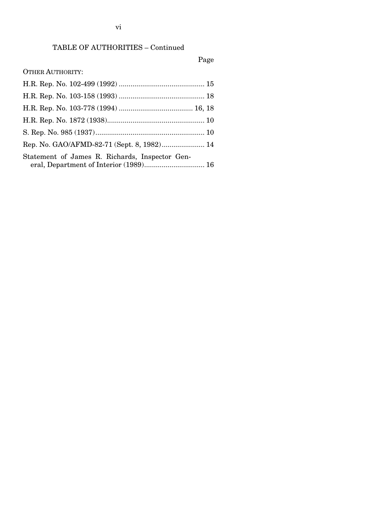# TABLE OF AUTHORITIES – Continued

# Page

| <b>OTHER AUTHORITY:</b> |
|-------------------------|
|-------------------------|

| Rep. No. GAO/AFMD-82-71 (Sept. 8, 1982) 14     |  |
|------------------------------------------------|--|
| Statement of James R. Richards, Inspector Gen- |  |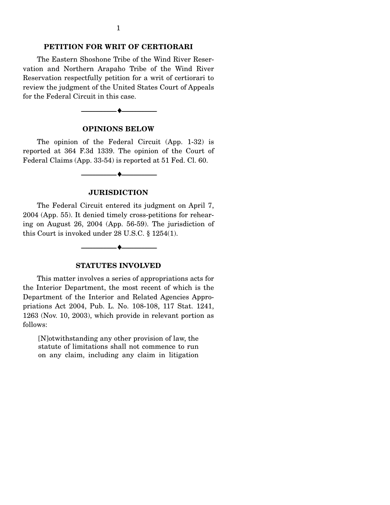#### **PETITION FOR WRIT OF CERTIORARI**

 The Eastern Shoshone Tribe of the Wind River Reservation and Northern Arapaho Tribe of the Wind River Reservation respectfully petition for a writ of certiorari to review the judgment of the United States Court of Appeals for the Federal Circuit in this case.

# **OPINIONS BELOW**

--------------------------------- ♦ ---------------------------------

 The opinion of the Federal Circuit (App. 1-32) is reported at 364 F.3d 1339. The opinion of the Court of Federal Claims (App. 33-54) is reported at 51 Fed. Cl. 60.

#### **JURISDICTION**

--------------------------------- ♦ ---------------------------------

 The Federal Circuit entered its judgment on April 7, 2004 (App. 55). It denied timely cross-petitions for rehearing on August 26, 2004 (App. 56-59). The jurisdiction of this Court is invoked under 28 U.S.C. § 1254(1).

#### **STATUTES INVOLVED**

--------------------------------- ♦ ---------------------------------

 This matter involves a series of appropriations acts for the Interior Department, the most recent of which is the Department of the Interior and Related Agencies Appropriations Act 2004, Pub. L. No. 108-108, 117 Stat. 1241, 1263 (Nov. 10, 2003), which provide in relevant portion as follows:

[N]otwithstanding any other provision of law, the statute of limitations shall not commence to run on any claim, including any claim in litigation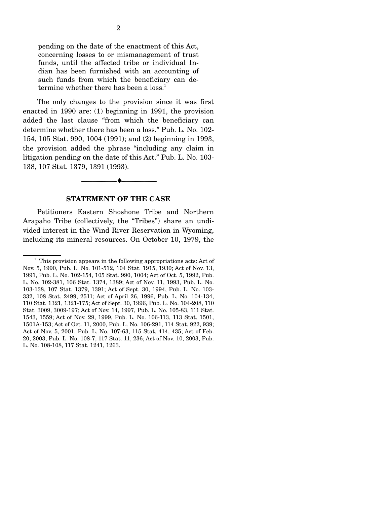pending on the date of the enactment of this Act, concerning losses to or mismanagement of trust funds, until the affected tribe or individual Indian has been furnished with an accounting of such funds from which the beneficiary can determine whether there has been a loss.<sup>1</sup>

 The only changes to the provision since it was first enacted in 1990 are: (1) beginning in 1991, the provision added the last clause "from which the beneficiary can determine whether there has been a loss." Pub. L. No. 102- 154, 105 Stat. 990, 1004 (1991); and (2) beginning in 1993, the provision added the phrase "including any claim in litigation pending on the date of this Act." Pub. L. No. 103- 138, 107 Stat. 1379, 1391 (1993).

#### **STATEMENT OF THE CASE**

--------------------------------- ♦ ---------------------------------

 Petitioners Eastern Shoshone Tribe and Northern Arapaho Tribe (collectively, the "Tribes") share an undivided interest in the Wind River Reservation in Wyoming, including its mineral resources. On October 10, 1979, the

<sup>&</sup>lt;sup>1</sup> This provision appears in the following appropriations acts: Act of Nov. 5, 1990, Pub. L. No. 101-512, 104 Stat. 1915, 1930; Act of Nov. 13, 1991, Pub. L. No. 102-154, 105 Stat. 990, 1004; Act of Oct. 5, 1992, Pub. L. No. 102-381, 106 Stat. 1374, 1389; Act of Nov. 11, 1993, Pub. L. No. 103-138, 107 Stat. 1379, 1391; Act of Sept. 30, 1994, Pub. L. No. 103- 332, 108 Stat. 2499, 2511; Act of April 26, 1996, Pub. L. No. 104-134, 110 Stat. 1321, 1321-175; Act of Sept. 30, 1996, Pub. L. No. 104-208, 110 Stat. 3009, 3009-197; Act of Nov. 14, 1997, Pub. L. No. 105-83, 111 Stat. 1543, 1559; Act of Nov. 29, 1999, Pub. L. No. 106-113, 113 Stat. 1501, 1501A-153; Act of Oct. 11, 2000, Pub. L. No. 106-291, 114 Stat. 922, 939; Act of Nov. 5, 2001, Pub. L. No. 107-63, 115 Stat. 414, 435; Act of Feb. 20, 2003, Pub. L. No. 108-7, 117 Stat. 11, 236; Act of Nov. 10, 2003, Pub. L. No. 108-108, 117 Stat. 1241, 1263.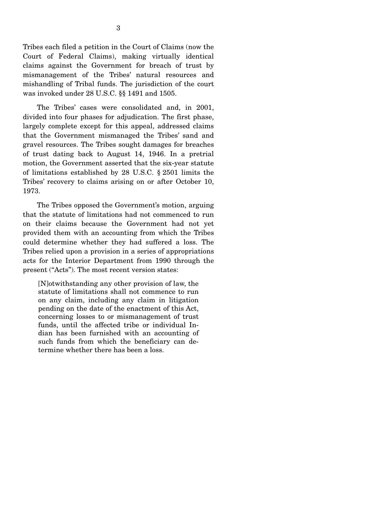Tribes each filed a petition in the Court of Claims (now the Court of Federal Claims), making virtually identical claims against the Government for breach of trust by mismanagement of the Tribes' natural resources and mishandling of Tribal funds. The jurisdiction of the court was invoked under 28 U.S.C. §§ 1491 and 1505.

 The Tribes' cases were consolidated and, in 2001, divided into four phases for adjudication. The first phase, largely complete except for this appeal, addressed claims that the Government mismanaged the Tribes' sand and gravel resources. The Tribes sought damages for breaches of trust dating back to August 14, 1946. In a pretrial motion, the Government asserted that the six-year statute of limitations established by 28 U.S.C. § 2501 limits the Tribes' recovery to claims arising on or after October 10, 1973.

 The Tribes opposed the Government's motion, arguing that the statute of limitations had not commenced to run on their claims because the Government had not yet provided them with an accounting from which the Tribes could determine whether they had suffered a loss. The Tribes relied upon a provision in a series of appropriations acts for the Interior Department from 1990 through the present ("Acts"). The most recent version states:

[N]otwithstanding any other provision of law, the statute of limitations shall not commence to run on any claim, including any claim in litigation pending on the date of the enactment of this Act, concerning losses to or mismanagement of trust funds, until the affected tribe or individual Indian has been furnished with an accounting of such funds from which the beneficiary can determine whether there has been a loss.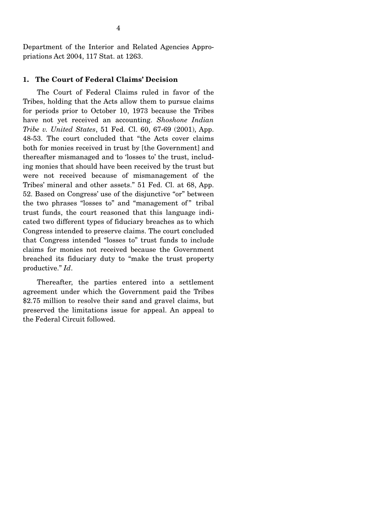Department of the Interior and Related Agencies Appropriations Act 2004, 117 Stat. at 1263.

### **1. The Court of Federal Claims' Decision**

 The Court of Federal Claims ruled in favor of the Tribes, holding that the Acts allow them to pursue claims for periods prior to October 10, 1973 because the Tribes have not yet received an accounting. *Shoshone Indian Tribe v. United States*, 51 Fed. Cl. 60, 67-69 (2001), App. 48-53. The court concluded that "the Acts cover claims both for monies received in trust by [the Government] and thereafter mismanaged and to 'losses to' the trust, including monies that should have been received by the trust but were not received because of mismanagement of the Tribes' mineral and other assets." 51 Fed. Cl. at 68, App. 52. Based on Congress' use of the disjunctive "or" between the two phrases "losses to" and "management of" tribal trust funds, the court reasoned that this language indicated two different types of fiduciary breaches as to which Congress intended to preserve claims. The court concluded that Congress intended "losses to" trust funds to include claims for monies not received because the Government breached its fiduciary duty to "make the trust property productive." *Id*.

 Thereafter, the parties entered into a settlement agreement under which the Government paid the Tribes \$2.75 million to resolve their sand and gravel claims, but preserved the limitations issue for appeal. An appeal to the Federal Circuit followed.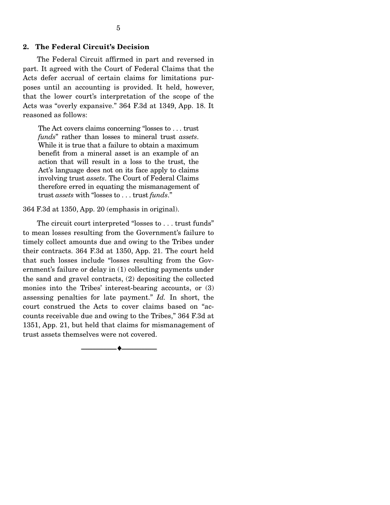#### **2. The Federal Circuit's Decision**

 The Federal Circuit affirmed in part and reversed in part. It agreed with the Court of Federal Claims that the Acts defer accrual of certain claims for limitations purposes until an accounting is provided. It held, however, that the lower court's interpretation of the scope of the Acts was "overly expansive." 364 F.3d at 1349, App. 18. It reasoned as follows:

The Act covers claims concerning "losses to . . . trust *funds*" rather than losses to mineral trust *assets*. While it is true that a failure to obtain a maximum benefit from a mineral asset is an example of an action that will result in a loss to the trust, the Act's language does not on its face apply to claims involving trust *assets*. The Court of Federal Claims therefore erred in equating the mismanagement of trust *assets* with "losses to . . . trust *funds*."

364 F.3d at 1350, App. 20 (emphasis in original).

 The circuit court interpreted "losses to . . . trust funds" to mean losses resulting from the Government's failure to timely collect amounts due and owing to the Tribes under their contracts. 364 F.3d at 1350, App. 21. The court held that such losses include "losses resulting from the Government's failure or delay in (1) collecting payments under the sand and gravel contracts, (2) depositing the collected monies into the Tribes' interest-bearing accounts, or (3) assessing penalties for late payment." *Id.* In short, the court construed the Acts to cover claims based on "accounts receivable due and owing to the Tribes," 364 F.3d at 1351, App. 21, but held that claims for mismanagement of trust assets themselves were not covered.

--------------------------------- ♦ ---------------------------------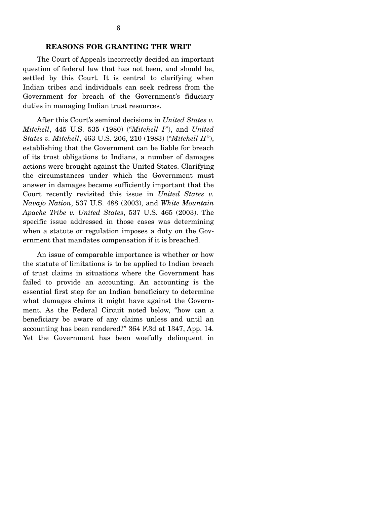#### **REASONS FOR GRANTING THE WRIT**

 The Court of Appeals incorrectly decided an important question of federal law that has not been, and should be, settled by this Court. It is central to clarifying when Indian tribes and individuals can seek redress from the Government for breach of the Government's fiduciary duties in managing Indian trust resources.

 After this Court's seminal decisions in *United States v. Mitchell*, 445 U.S. 535 (1980) ("*Mitchell I*"), and *United States v. Mitchell*, 463 U.S. 206, 210 (1983) ("*Mitchell II*"), establishing that the Government can be liable for breach of its trust obligations to Indians, a number of damages actions were brought against the United States. Clarifying the circumstances under which the Government must answer in damages became sufficiently important that the Court recently revisited this issue in *United States v. Navajo Nation*, 537 U.S. 488 (2003), and *White Mountain Apache Tribe v. United States*, 537 U.S. 465 (2003). The specific issue addressed in those cases was determining when a statute or regulation imposes a duty on the Government that mandates compensation if it is breached.

 An issue of comparable importance is whether or how the statute of limitations is to be applied to Indian breach of trust claims in situations where the Government has failed to provide an accounting. An accounting is the essential first step for an Indian beneficiary to determine what damages claims it might have against the Government. As the Federal Circuit noted below, "how can a beneficiary be aware of any claims unless and until an accounting has been rendered?" 364 F.3d at 1347, App. 14. Yet the Government has been woefully delinquent in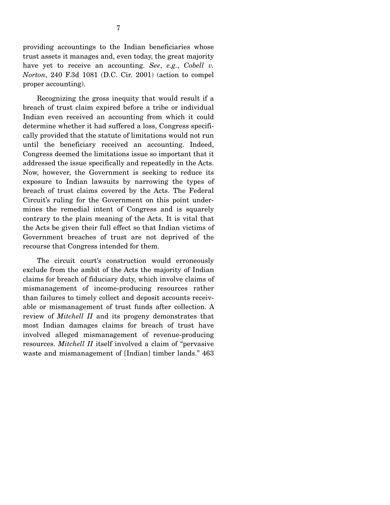providing accountings to the Indian beneficiaries whose trust assets it manages and, even today, the great majority have yet to receive an accounting. *See*, *e.g.*, *Cobell v. Norton*, 240 F.3d 1081 (D.C. Cir. 2001) (action to compel proper accounting).

 Recognizing the gross inequity that would result if a breach of trust claim expired before a tribe or individual Indian even received an accounting from which it could determine whether it had suffered a loss, Congress specifically provided that the statute of limitations would not run until the beneficiary received an accounting. Indeed, Congress deemed the limitations issue so important that it addressed the issue specifically and repeatedly in the Acts. Now, however, the Government is seeking to reduce its exposure to Indian lawsuits by narrowing the types of breach of trust claims covered by the Acts. The Federal Circuit's ruling for the Government on this point undermines the remedial intent of Congress and is squarely contrary to the plain meaning of the Acts. It is vital that the Acts be given their full effect so that Indian victims of Government breaches of trust are not deprived of the recourse that Congress intended for them.

 The circuit court's construction would erroneously exclude from the ambit of the Acts the majority of Indian claims for breach of fiduciary duty, which involve claims of mismanagement of income-producing resources rather than failures to timely collect and deposit accounts receivable or mismanagement of trust funds after collection. A review of *Mitchell II* and its progeny demonstrates that most Indian damages claims for breach of trust have involved alleged mismanagement of revenue-producing resources. *Mitchell II* itself involved a claim of "pervasive waste and mismanagement of [Indian] timber lands." 463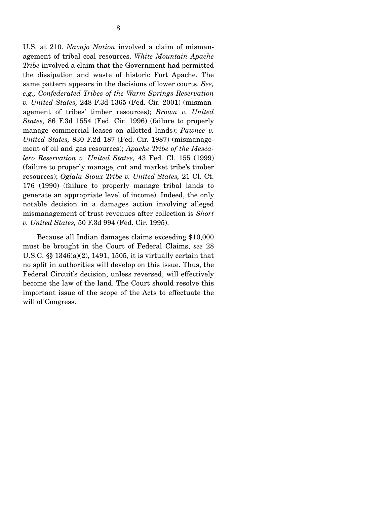U.S. at 210. *Navajo Nation* involved a claim of mismanagement of tribal coal resources. *White Mountain Apache Tribe* involved a claim that the Government had permitted the dissipation and waste of historic Fort Apache. The same pattern appears in the decisions of lower courts. *See, e.g., Confederated Tribes of the Warm Springs Reservation v. United States,* 248 F.3d 1365 (Fed. Cir. 2001) (mismanagement of tribes' timber resources); *Brown v. United States,* 86 F.3d 1554 (Fed. Cir. 1996) (failure to properly manage commercial leases on allotted lands); *Pawnee v. United States,* 830 F.2d 187 (Fed. Cir. 1987) (mismanagement of oil and gas resources); *Apache Tribe of the Mescalero Reservation v. United States,* 43 Fed. Cl. 155 (1999) (failure to properly manage, cut and market tribe's timber resources); *Oglala Sioux Tribe v. United States,* 21 Cl. Ct. 176 (1990) (failure to properly manage tribal lands to generate an appropriate level of income). Indeed, the only notable decision in a damages action involving alleged mismanagement of trust revenues after collection is *Short v. United States,* 50 F.3d 994 (Fed. Cir. 1995).

 Because all Indian damages claims exceeding \$10,000 must be brought in the Court of Federal Claims, *see* 28 U.S.C. §§ 1346(a)(2), 1491, 1505, it is virtually certain that no split in authorities will develop on this issue. Thus, the Federal Circuit's decision, unless reversed, will effectively become the law of the land. The Court should resolve this important issue of the scope of the Acts to effectuate the will of Congress.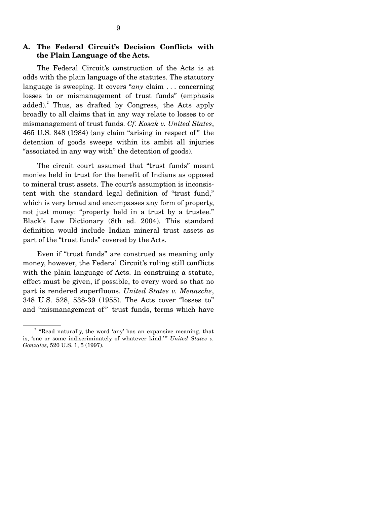### **A. The Federal Circuit's Decision Conflicts with the Plain Language of the Acts.**

 The Federal Circuit's construction of the Acts is at odds with the plain language of the statutes. The statutory language is sweeping. It covers "*any* claim . . . concerning losses to or mismanagement of trust funds" (emphasis added).<sup>2</sup> Thus, as drafted by Congress, the Acts apply broadly to all claims that in any way relate to losses to or mismanagement of trust funds. *Cf. Kosak v. United States*, 465 U.S. 848 (1984) (any claim "arising in respect of " the detention of goods sweeps within its ambit all injuries "associated in any way with" the detention of goods).

 The circuit court assumed that "trust funds" meant monies held in trust for the benefit of Indians as opposed to mineral trust assets. The court's assumption is inconsistent with the standard legal definition of "trust fund," which is very broad and encompasses any form of property, not just money: "property held in a trust by a trustee." Black's Law Dictionary (8th ed. 2004). This standard definition would include Indian mineral trust assets as part of the "trust funds" covered by the Acts.

 Even if "trust funds" are construed as meaning only money, however, the Federal Circuit's ruling still conflicts with the plain language of Acts. In construing a statute, effect must be given, if possible, to every word so that no part is rendered superfluous. *United States v. Menasche*, 348 U.S. 528, 538-39 (1955). The Acts cover "losses to" and "mismanagement of" trust funds, terms which have

<sup>&</sup>lt;sup>2</sup> "Read naturally, the word 'any' has an expansive meaning, that is, 'one or some indiscriminately of whatever kind.'" *United States v. Gonzalez*, 520 U.S. 1, 5 (1997).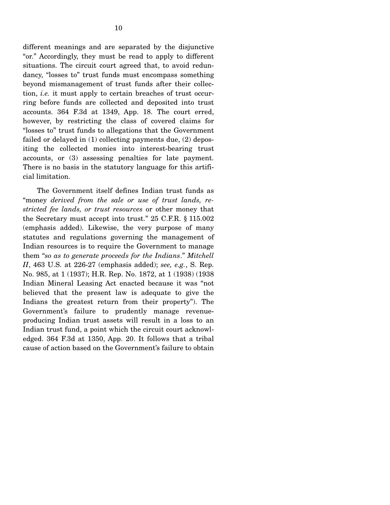different meanings and are separated by the disjunctive "or." Accordingly, they must be read to apply to different situations. The circuit court agreed that, to avoid redundancy, "losses to" trust funds must encompass something beyond mismanagement of trust funds after their collection, *i.e.* it must apply to certain breaches of trust occurring before funds are collected and deposited into trust accounts. 364 F.3d at 1349, App. 18. The court erred, however, by restricting the class of covered claims for "losses to" trust funds to allegations that the Government failed or delayed in (1) collecting payments due, (2) depositing the collected monies into interest-bearing trust accounts, or (3) assessing penalties for late payment. There is no basis in the statutory language for this artificial limitation.

 The Government itself defines Indian trust funds as "money *derived from the sale or use of trust lands, restricted fee lands, or trust resources* or other money that the Secretary must accept into trust." 25 C.F.R. § 115.002 (emphasis added). Likewise, the very purpose of many statutes and regulations governing the management of Indian resources is to require the Government to manage them "*so as to generate proceeds for the Indians*." *Mitchell II*, 463 U.S. at 226-27 (emphasis added); *see, e.g.*, S. Rep. No. 985, at 1 (1937); H.R. Rep. No. 1872, at 1 (1938) (1938 Indian Mineral Leasing Act enacted because it was "not believed that the present law is adequate to give the Indians the greatest return from their property"). The Government's failure to prudently manage revenueproducing Indian trust assets will result in a loss to an Indian trust fund, a point which the circuit court acknowledged. 364 F.3d at 1350, App. 20. It follows that a tribal cause of action based on the Government's failure to obtain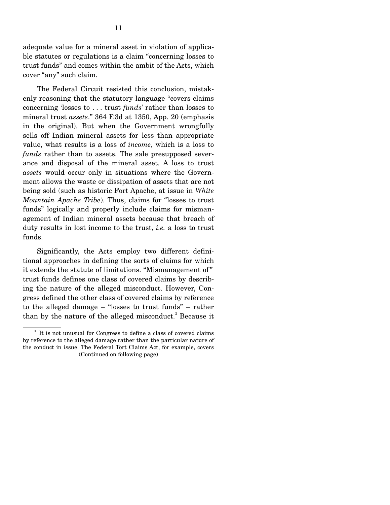adequate value for a mineral asset in violation of applicable statutes or regulations is a claim "concerning losses to trust funds" and comes within the ambit of the Acts, which cover "any" such claim.

 The Federal Circuit resisted this conclusion, mistakenly reasoning that the statutory language "covers claims concerning 'losses to . . . trust *funds*' rather than losses to mineral trust *assets*." 364 F.3d at 1350, App. 20 (emphasis in the original). But when the Government wrongfully sells off Indian mineral assets for less than appropriate value, what results is a loss of *income*, which is a loss to *funds* rather than to assets. The sale presupposed severance and disposal of the mineral asset. A loss to trust *assets* would occur only in situations where the Government allows the waste or dissipation of assets that are not being sold (such as historic Fort Apache, at issue in *White Mountain Apache Tribe*). Thus, claims for "losses to trust funds" logically and properly include claims for mismanagement of Indian mineral assets because that breach of duty results in lost income to the trust, *i.e.* a loss to trust funds.

 Significantly, the Acts employ two different definitional approaches in defining the sorts of claims for which it extends the statute of limitations. "Mismanagement of " trust funds defines one class of covered claims by describing the nature of the alleged misconduct. However, Congress defined the other class of covered claims by reference to the alleged damage – "losses to trust funds" – rather than by the nature of the alleged misconduct.<sup>3</sup> Because it

<sup>&</sup>lt;sup>3</sup> It is not unusual for Congress to define a class of covered claims by reference to the alleged damage rather than the particular nature of the conduct in issue. The Federal Tort Claims Act, for example, covers (Continued on following page)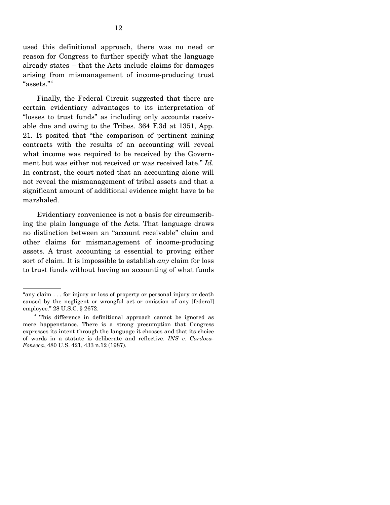used this definitional approach, there was no need or reason for Congress to further specify what the language already states – that the Acts include claims for damages arising from mismanagement of income-producing trust "assets."<sup>4</sup>

 Finally, the Federal Circuit suggested that there are certain evidentiary advantages to its interpretation of "losses to trust funds" as including only accounts receivable due and owing to the Tribes. 364 F.3d at 1351, App. 21. It posited that "the comparison of pertinent mining contracts with the results of an accounting will reveal what income was required to be received by the Government but was either not received or was received late." *Id.* In contrast, the court noted that an accounting alone will not reveal the mismanagement of tribal assets and that a significant amount of additional evidence might have to be marshaled.

 Evidentiary convenience is not a basis for circumscribing the plain language of the Acts. That language draws no distinction between an "account receivable" claim and other claims for mismanagement of income-producing assets. A trust accounting is essential to proving either sort of claim. It is impossible to establish *any* claim for loss to trust funds without having an accounting of what funds

<sup>&</sup>quot;any claim . . . for injury or loss of property or personal injury or death caused by the negligent or wrongful act or omission of any [federal] employee." 28 U.S.C. § 2672.

<sup>&</sup>lt;sup>4</sup> This difference in definitional approach cannot be ignored as mere happenstance. There is a strong presumption that Congress expresses its intent through the language it chooses and that its choice of words in a statute is deliberate and reflective. *INS v. Cardoza-Fonseca*, 480 U.S. 421, 433 n.12 (1987).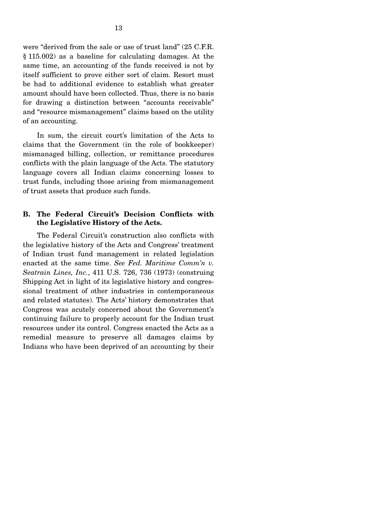were "derived from the sale or use of trust land" (25 C.F.R. § 115.002) as a baseline for calculating damages. At the same time, an accounting of the funds received is not by itself sufficient to prove either sort of claim. Resort must be had to additional evidence to establish what greater amount should have been collected. Thus, there is no basis for drawing a distinction between "accounts receivable" and "resource mismanagement" claims based on the utility of an accounting.

 In sum, the circuit court's limitation of the Acts to claims that the Government (in the role of bookkeeper) mismanaged billing, collection, or remittance procedures conflicts with the plain language of the Acts. The statutory language covers all Indian claims concerning losses to trust funds, including those arising from mismanagement of trust assets that produce such funds.

### **B. The Federal Circuit's Decision Conflicts with the Legislative History of the Acts.**

 The Federal Circuit's construction also conflicts with the legislative history of the Acts and Congress' treatment of Indian trust fund management in related legislation enacted at the same time. *See Fed. Maritime Comm'n v. Seatrain Lines, Inc.*, 411 U.S. 726, 736 (1973) (construing Shipping Act in light of its legislative history and congressional treatment of other industries in contemporaneous and related statutes). The Acts' history demonstrates that Congress was acutely concerned about the Government's continuing failure to properly account for the Indian trust resources under its control. Congress enacted the Acts as a remedial measure to preserve all damages claims by Indians who have been deprived of an accounting by their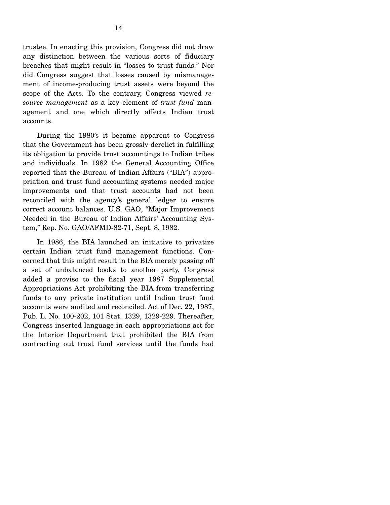trustee. In enacting this provision, Congress did not draw any distinction between the various sorts of fiduciary breaches that might result in "losses to trust funds." Nor did Congress suggest that losses caused by mismanagement of income-producing trust assets were beyond the scope of the Acts. To the contrary, Congress viewed *resource management* as a key element of *trust fund* management and one which directly affects Indian trust accounts.

 During the 1980's it became apparent to Congress that the Government has been grossly derelict in fulfilling its obligation to provide trust accountings to Indian tribes and individuals. In 1982 the General Accounting Office reported that the Bureau of Indian Affairs ("BIA") appropriation and trust fund accounting systems needed major improvements and that trust accounts had not been reconciled with the agency's general ledger to ensure correct account balances. U.S. GAO, "Major Improvement Needed in the Bureau of Indian Affairs' Accounting System," Rep. No. GAO/AFMD-82-71, Sept. 8, 1982.

 In 1986, the BIA launched an initiative to privatize certain Indian trust fund management functions. Concerned that this might result in the BIA merely passing off a set of unbalanced books to another party, Congress added a proviso to the fiscal year 1987 Supplemental Appropriations Act prohibiting the BIA from transferring funds to any private institution until Indian trust fund accounts were audited and reconciled. Act of Dec. 22, 1987, Pub. L. No. 100-202, 101 Stat. 1329, 1329-229. Thereafter, Congress inserted language in each appropriations act for the Interior Department that prohibited the BIA from contracting out trust fund services until the funds had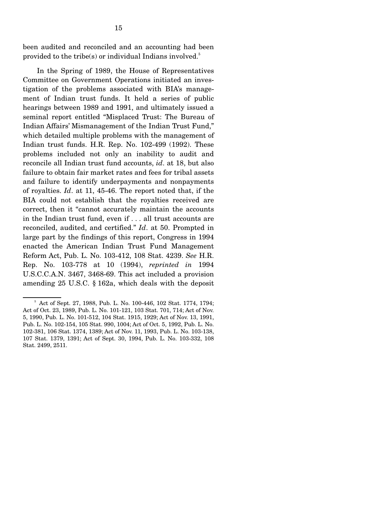been audited and reconciled and an accounting had been provided to the tribe(s) or individual Indians involved.<sup>5</sup>

 In the Spring of 1989, the House of Representatives Committee on Government Operations initiated an investigation of the problems associated with BIA's management of Indian trust funds. It held a series of public hearings between 1989 and 1991, and ultimately issued a seminal report entitled "Misplaced Trust: The Bureau of Indian Affairs' Mismanagement of the Indian Trust Fund," which detailed multiple problems with the management of Indian trust funds. H.R. Rep. No. 102-499 (1992). These problems included not only an inability to audit and reconcile all Indian trust fund accounts, *id*. at 18, but also failure to obtain fair market rates and fees for tribal assets and failure to identify underpayments and nonpayments of royalties. *Id*. at 11, 45-46. The report noted that, if the BIA could not establish that the royalties received are correct, then it "cannot accurately maintain the accounts in the Indian trust fund, even if . . . all trust accounts are reconciled, audited, and certified." *Id*. at 50. Prompted in large part by the findings of this report, Congress in 1994 enacted the American Indian Trust Fund Management Reform Act, Pub. L. No. 103-412, 108 Stat. 4239. *See* H.R. Rep. No. 103-778 at 10 (1994), *reprinted in* 1994 U.S.C.C.A.N. 3467, 3468-69. This act included a provision amending 25 U.S.C. § 162a, which deals with the deposit

<sup>5</sup> Act of Sept. 27, 1988, Pub. L. No. 100-446, 102 Stat. 1774, 1794; Act of Oct. 23, 1989, Pub. L. No. 101-121, 103 Stat. 701, 714; Act of Nov. 5, 1990, Pub. L. No. 101-512, 104 Stat. 1915, 1929; Act of Nov. 13, 1991, Pub. L. No. 102-154, 105 Stat. 990, 1004; Act of Oct. 5, 1992, Pub. L. No. 102-381, 106 Stat. 1374, 1389; Act of Nov. 11, 1993, Pub. L. No. 103-138, 107 Stat. 1379, 1391; Act of Sept. 30, 1994, Pub. L. No. 103-332, 108 Stat. 2499, 2511.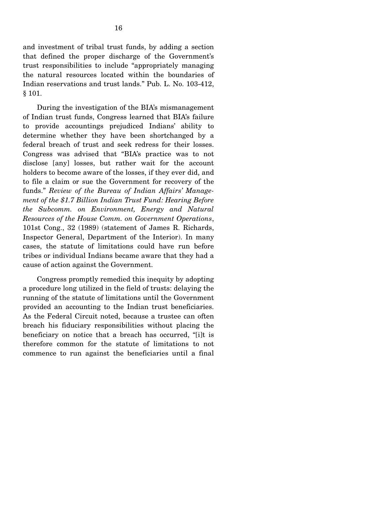and investment of tribal trust funds, by adding a section that defined the proper discharge of the Government's trust responsibilities to include "appropriately managing the natural resources located within the boundaries of Indian reservations and trust lands." Pub. L. No. 103-412, § 101.

 During the investigation of the BIA's mismanagement of Indian trust funds, Congress learned that BIA's failure to provide accountings prejudiced Indians' ability to determine whether they have been shortchanged by a federal breach of trust and seek redress for their losses. Congress was advised that "BIA's practice was to not disclose [any] losses, but rather wait for the account holders to become aware of the losses, if they ever did, and to file a claim or sue the Government for recovery of the funds." *Review of the Bureau of Indian Affairs' Management of the \$1.7 Billion Indian Trust Fund: Hearing Before the Subcomm. on Environment, Energy and Natural Resources of the House Comm. on Government Operations*, 101st Cong., 32 (1989) (statement of James R. Richards, Inspector General, Department of the Interior). In many cases, the statute of limitations could have run before tribes or individual Indians became aware that they had a cause of action against the Government.

 Congress promptly remedied this inequity by adopting a procedure long utilized in the field of trusts: delaying the running of the statute of limitations until the Government provided an accounting to the Indian trust beneficiaries. As the Federal Circuit noted, because a trustee can often breach his fiduciary responsibilities without placing the beneficiary on notice that a breach has occurred, "[i]t is therefore common for the statute of limitations to not commence to run against the beneficiaries until a final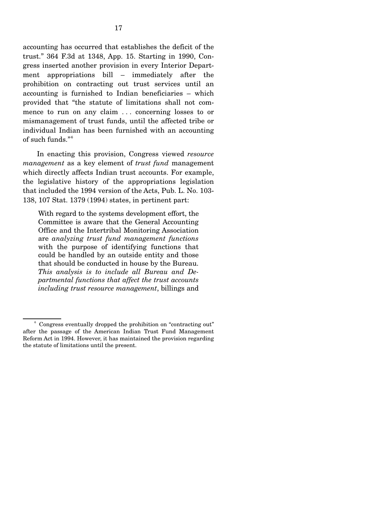accounting has occurred that establishes the deficit of the trust." 364 F.3d at 1348, App. 15. Starting in 1990, Congress inserted another provision in every Interior Department appropriations bill – immediately after the prohibition on contracting out trust services until an accounting is furnished to Indian beneficiaries – which provided that "the statute of limitations shall not commence to run on any claim ... concerning losses to or mismanagement of trust funds, until the affected tribe or individual Indian has been furnished with an accounting

 In enacting this provision, Congress viewed *resource management* as a key element of *trust fund* management which directly affects Indian trust accounts. For example, the legislative history of the appropriations legislation that included the 1994 version of the Acts, Pub. L. No. 103- 138, 107 Stat. 1379 (1994) states, in pertinent part:

of such funds."<sup>6</sup>

With regard to the systems development effort, the Committee is aware that the General Accounting Office and the Intertribal Monitoring Association are *analyzing trust fund management functions*  with the purpose of identifying functions that could be handled by an outside entity and those that should be conducted in house by the Bureau. *This analysis is to include all Bureau and Departmental functions that affect the trust accounts including trust resource management*, billings and

<sup>6</sup> Congress eventually dropped the prohibition on "contracting out" after the passage of the American Indian Trust Fund Management Reform Act in 1994. However, it has maintained the provision regarding the statute of limitations until the present.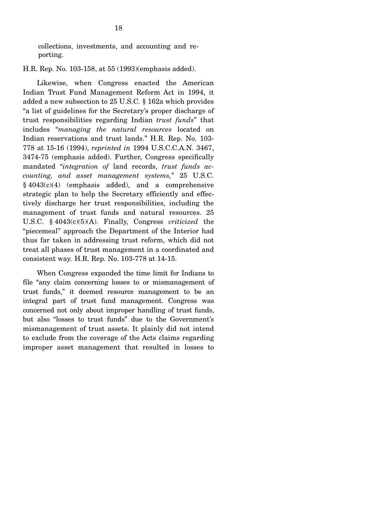collections, investments, and accounting and reporting.

H.R. Rep. No. 103-158, at 55 (1993)(emphasis added).

 Likewise, when Congress enacted the American Indian Trust Fund Management Reform Act in 1994, it added a new subsection to 25 U.S.C. § 162a which provides "a list of guidelines for the Secretary's proper discharge of trust responsibilities regarding Indian *trust funds*" that includes "*managing the natural resources* located on Indian reservations and trust lands." H.R. Rep. No. 103- 778 at 15-16 (1994), *reprinted in* 1994 U.S.C.C.A.N. 3467, 3474-75 (emphasis added). Further, Congress specifically mandated "*integration of* land records, *trust funds accounting, and asset management systems,*" 25 U.S.C.  $§$  4043(c)(4) (emphasis added), and a comprehensive strategic plan to help the Secretary efficiently and effectively discharge her trust responsibilities, including the management of trust funds and natural resources. 25 U.S.C. § 4043(c)(5)(A). Finally, Congress *criticized* the "piecemeal" approach the Department of the Interior had thus far taken in addressing trust reform, which did not treat all phases of trust management in a coordinated and consistent way. H.R. Rep. No. 103-778 at 14-15.

 When Congress expanded the time limit for Indians to file "any claim concerning losses to or mismanagement of trust funds," it deemed resource management to be an integral part of trust fund management. Congress was concerned not only about improper handling of trust funds, but also "losses to trust funds" due to the Government's mismanagement of trust assets. It plainly did not intend to exclude from the coverage of the Acts claims regarding improper asset management that resulted in losses to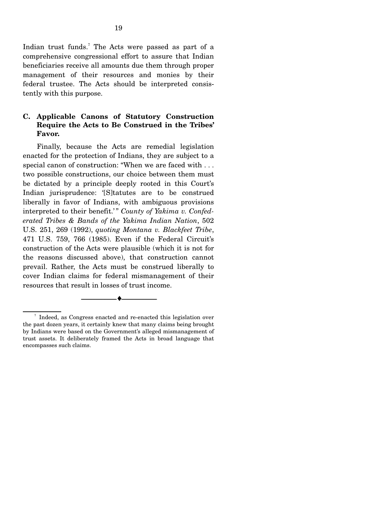Indian trust funds.<sup>7</sup> The Acts were passed as part of a comprehensive congressional effort to assure that Indian beneficiaries receive all amounts due them through proper management of their resources and monies by their federal trustee. The Acts should be interpreted consistently with this purpose.

### **C. Applicable Canons of Statutory Construction Require the Acts to Be Construed in the Tribes' Favor.**

 Finally, because the Acts are remedial legislation enacted for the protection of Indians, they are subject to a special canon of construction: "When we are faced with . . . two possible constructions, our choice between them must be dictated by a principle deeply rooted in this Court's Indian jurisprudence: '[S]tatutes are to be construed liberally in favor of Indians, with ambiguous provisions interpreted to their benefit.'" County of Yakima v. Confed*erated Tribes & Bands of the Yakima Indian Nation*, 502 U.S. 251, 269 (1992), *quoting Montana v. Blackfeet Tribe*, 471 U.S. 759, 766 (1985). Even if the Federal Circuit's construction of the Acts were plausible (which it is not for the reasons discussed above), that construction cannot prevail. Rather, the Acts must be construed liberally to cover Indian claims for federal mismanagement of their resources that result in losses of trust income.

--------------------------------- ♦ ---------------------------------

<sup>7</sup> Indeed, as Congress enacted and re-enacted this legislation over the past dozen years, it certainly knew that many claims being brought by Indians were based on the Government's alleged mismanagement of trust assets. It deliberately framed the Acts in broad language that encompasses such claims.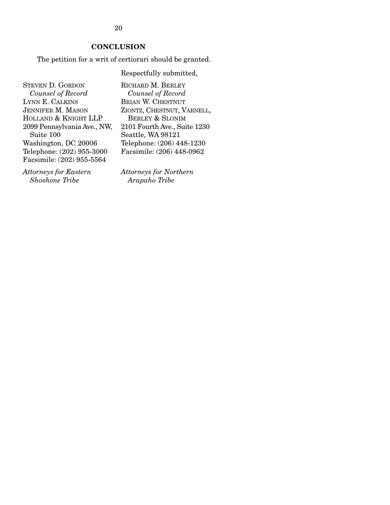20

### **CONCLUSION**

The petition for a writ of certiorari should be granted.

Respectfully submitted,

STEVEN D. GORDON *Counsel of Record*  LYNN E. CALKINS JENNIFER M. MASON HOLLAND & KNIGHT LLP 2099 Pennsylvania Ave., NW, Suite 100 Washington, DC 20006 Telephone: (202) 955-3000 Facsimile: (202) 955-5564

*Attorneys for Eastern Shoshone Tribe* 

RICHARD M. BERLEY *Counsel of Record* BRIAN W. CHESTNUT ZIONTZ, CHESTNUT, VARNELL, BERLEY & SLONIM 2101 Fourth Ave., Suite 1230 Seattle, WA 98121 Telephone: (206) 448-1230 Facsimile: (206) 448-0962

*Attorneys for Northern Arapaho Tribe*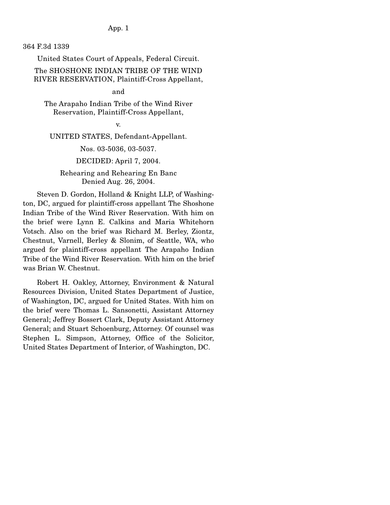App. 1

364 F.3d 1339

United States Court of Appeals, Federal Circuit.

The SHOSHONE INDIAN TRIBE OF THE WIND RIVER RESERVATION, Plaintiff-Cross Appellant,

### and

The Arapaho Indian Tribe of the Wind River Reservation, Plaintiff-Cross Appellant,

v.

UNITED STATES, Defendant-Appellant.

Nos. 03-5036, 03-5037.

#### DECIDED: April 7, 2004.

### Rehearing and Rehearing En Banc Denied Aug. 26, 2004.

 Steven D. Gordon, Holland & Knight LLP, of Washington, DC, argued for plaintiff-cross appellant The Shoshone Indian Tribe of the Wind River Reservation. With him on the brief were Lynn E. Calkins and Maria Whitehorn Votsch. Also on the brief was Richard M. Berley, Ziontz, Chestnut, Varnell, Berley & Slonim, of Seattle, WA, who argued for plaintiff-cross appellant The Arapaho Indian Tribe of the Wind River Reservation. With him on the brief was Brian W. Chestnut.

 Robert H. Oakley, Attorney, Environment & Natural Resources Division, United States Department of Justice, of Washington, DC, argued for United States. With him on the brief were Thomas L. Sansonetti, Assistant Attorney General; Jeffrey Bossert Clark, Deputy Assistant Attorney General; and Stuart Schoenburg, Attorney. Of counsel was Stephen L. Simpson, Attorney, Office of the Solicitor, United States Department of Interior, of Washington, DC.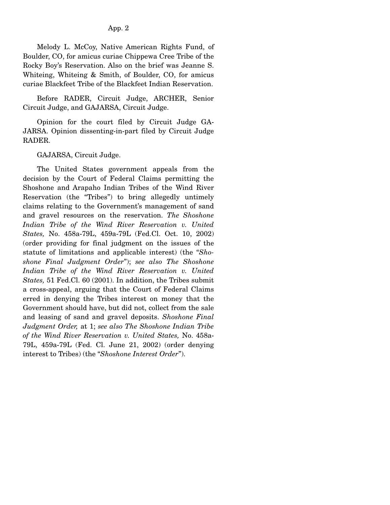### App. 2

 Melody L. McCoy, Native American Rights Fund, of Boulder, CO, for amicus curiae Chippewa Cree Tribe of the Rocky Boy's Reservation. Also on the brief was Jeanne S. Whiteing, Whiteing & Smith, of Boulder, CO, for amicus curiae Blackfeet Tribe of the Blackfeet Indian Reservation.

 Before RADER, Circuit Judge, ARCHER, Senior Circuit Judge, and GAJARSA, Circuit Judge.

 Opinion for the court filed by Circuit Judge GA-JARSA. Opinion dissenting-in-part filed by Circuit Judge RADER.

GAJARSA, Circuit Judge.

 The United States government appeals from the decision by the Court of Federal Claims permitting the Shoshone and Arapaho Indian Tribes of the Wind River Reservation (the "Tribes") to bring allegedly untimely claims relating to the Government's management of sand and gravel resources on the reservation. *The Shoshone Indian Tribe of the Wind River Reservation v. United States,* No. 458a-79L, 459a-79L (Fed.Cl. Oct. 10, 2002) (order providing for final judgment on the issues of the statute of limitations and applicable interest) (the "*Shoshone Final Judgment Order*"); *see also The Shoshone Indian Tribe of the Wind River Reservation v. United States,* 51 Fed.Cl. 60 (2001). In addition, the Tribes submit a cross-appeal, arguing that the Court of Federal Claims erred in denying the Tribes interest on money that the Government should have, but did not, collect from the sale and leasing of sand and gravel deposits. *Shoshone Final Judgment Order,* at 1; *see also The Shoshone Indian Tribe of the Wind River Reservation v. United States,* No. 458a-79L, 459a-79L (Fed. Cl. June 21, 2002) (order denying interest to Tribes) (the "*Shoshone Interest Order*").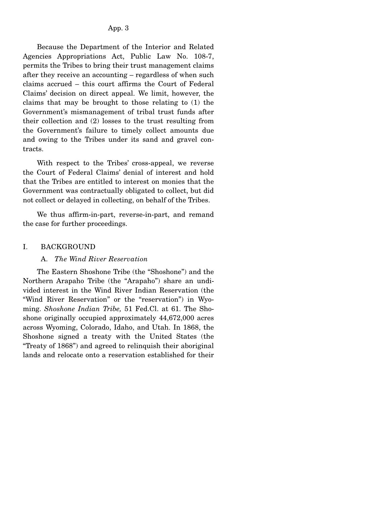Because the Department of the Interior and Related Agencies Appropriations Act, Public Law No. 108-7, permits the Tribes to bring their trust management claims after they receive an accounting – regardless of when such claims accrued – this court affirms the Court of Federal Claims' decision on direct appeal. We limit, however, the claims that may be brought to those relating to (1) the Government's mismanagement of tribal trust funds after their collection and (2) losses to the trust resulting from the Government's failure to timely collect amounts due and owing to the Tribes under its sand and gravel contracts.

 With respect to the Tribes' cross-appeal, we reverse the Court of Federal Claims' denial of interest and hold that the Tribes are entitled to interest on monies that the Government was contractually obligated to collect, but did not collect or delayed in collecting, on behalf of the Tribes.

 We thus affirm-in-part, reverse-in-part, and remand the case for further proceedings.

### I. BACKGROUND

### A. *The Wind River Reservation*

 The Eastern Shoshone Tribe (the "Shoshone") and the Northern Arapaho Tribe (the "Arapaho") share an undivided interest in the Wind River Indian Reservation (the "Wind River Reservation" or the "reservation") in Wyoming. *Shoshone Indian Tribe,* 51 Fed.Cl. at 61. The Shoshone originally occupied approximately 44,672,000 acres across Wyoming, Colorado, Idaho, and Utah. In 1868, the Shoshone signed a treaty with the United States (the "Treaty of 1868") and agreed to relinquish their aboriginal lands and relocate onto a reservation established for their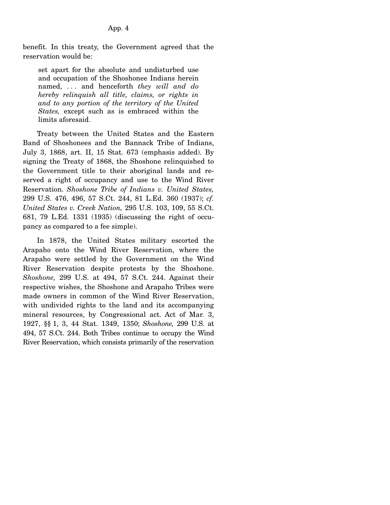benefit. In this treaty, the Government agreed that the reservation would be:

set apart for the absolute and undisturbed use and occupation of the Shoshonee Indians herein named, . . . and henceforth *they will and do hereby relinquish all title, claims, or rights in and to any portion of the territory of the United States,* except such as is embraced within the limits aforesaid.

 Treaty between the United States and the Eastern Band of Shoshonees and the Bannack Tribe of Indians, July 3, 1868, art. II, 15 Stat. 673 (emphasis added). By signing the Treaty of 1868, the Shoshone relinquished to the Government title to their aboriginal lands and reserved a right of occupancy and use to the Wind River Reservation. *Shoshone Tribe of Indians v. United States,* 299 U.S. 476, 496, 57 S.Ct. 244, 81 L.Ed. 360 (1937); *cf. United States v. Creek Nation,* 295 U.S. 103, 109, 55 S.Ct. 681, 79 L.Ed. 1331 (1935) (discussing the right of occupancy as compared to a fee simple).

 In 1878, the United States military escorted the Arapaho onto the Wind River Reservation, where the Arapaho were settled by the Government on the Wind River Reservation despite protests by the Shoshone. *Shoshone,* 299 U.S. at 494, 57 S.Ct. 244. Against their respective wishes, the Shoshone and Arapaho Tribes were made owners in common of the Wind River Reservation, with undivided rights to the land and its accompanying mineral resources, by Congressional act. Act of Mar. 3, 1927, §§ 1, 3, 44 Stat. 1349, 1350; *Shoshone,* 299 U.S. at 494, 57 S.Ct. 244. Both Tribes continue to occupy the Wind River Reservation, which consists primarily of the reservation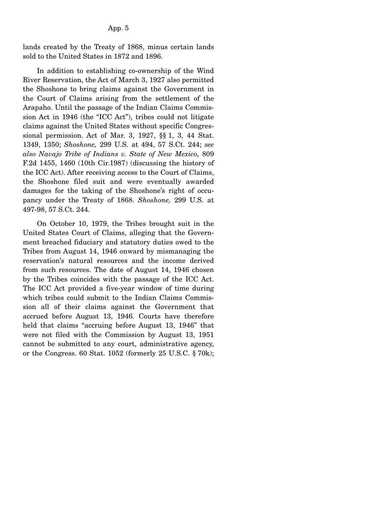lands created by the Treaty of 1868, minus certain lands sold to the United States in 1872 and 1896.

 In addition to establishing co-ownership of the Wind River Reservation, the Act of March 3, 1927 also permitted the Shoshone to bring claims against the Government in the Court of Claims arising from the settlement of the Arapaho. Until the passage of the Indian Claims Commission Act in 1946 (the "ICC Act"), tribes could not litigate claims against the United States without specific Congressional permission. Act of Mar. 3, 1927, §§ 1, 3, 44 Stat. 1349, 1350; *Shoshone,* 299 U.S. at 494, 57 S.Ct. 244; *see also Navajo Tribe of Indians v. State of New Mexico,* 809 F.2d 1455, 1460 (10th Cir.1987) (discussing the history of the ICC Act). After receiving access to the Court of Claims, the Shoshone filed suit and were eventually awarded damages for the taking of the Shoshone's right of occupancy under the Treaty of 1868. *Shoshone,* 299 U.S. at 497-98, 57 S.Ct. 244.

 On October 10, 1979, the Tribes brought suit in the United States Court of Claims, alleging that the Government breached fiduciary and statutory duties owed to the Tribes from August 14, 1946 onward by mismanaging the reservation's natural resources and the income derived from such resources. The date of August 14, 1946 chosen by the Tribes coincides with the passage of the ICC Act. The ICC Act provided a five-year window of time during which tribes could submit to the Indian Claims Commission all of their claims against the Government that accrued before August 13, 1946. Courts have therefore held that claims "accruing before August 13, 1946" that were not filed with the Commission by August 13, 1951 cannot be submitted to any court, administrative agency, or the Congress. 60 Stat. 1052 (formerly 25 U.S.C. § 70k);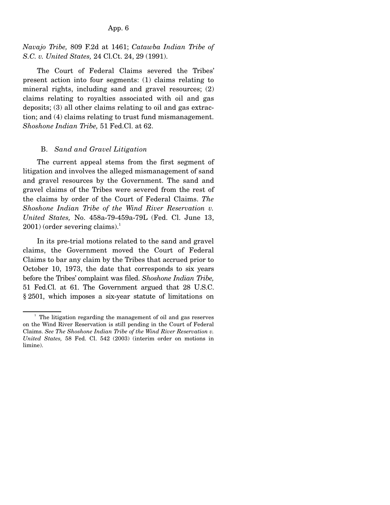#### App. 6

*Navajo Tribe,* 809 F.2d at 1461; *Catawba Indian Tribe of S.C. v. United States,* 24 Cl.Ct. 24, 29 (1991).

 The Court of Federal Claims severed the Tribes' present action into four segments: (1) claims relating to mineral rights, including sand and gravel resources; (2) claims relating to royalties associated with oil and gas deposits; (3) all other claims relating to oil and gas extraction; and (4) claims relating to trust fund mismanagement. *Shoshone Indian Tribe,* 51 Fed.Cl. at 62.

#### B. *Sand and Gravel Litigation*

 The current appeal stems from the first segment of litigation and involves the alleged mismanagement of sand and gravel resources by the Government. The sand and gravel claims of the Tribes were severed from the rest of the claims by order of the Court of Federal Claims. *The Shoshone Indian Tribe of the Wind River Reservation v. United States,* No. 458a-79-459a-79L (Fed. Cl. June 13,  $2001$ ) (order severing claims).<sup>1</sup>

 In its pre-trial motions related to the sand and gravel claims, the Government moved the Court of Federal Claims to bar any claim by the Tribes that accrued prior to October 10, 1973, the date that corresponds to six years before the Tribes' complaint was filed. *Shoshone Indian Tribe,* 51 Fed.Cl. at 61. The Government argued that 28 U.S.C. § 2501, which imposes a six-year statute of limitations on

<sup>&</sup>lt;sup>1</sup> The litigation regarding the management of oil and gas reserves on the Wind River Reservation is still pending in the Court of Federal Claims. *See The Shoshone Indian Tribe of the Wind River Reservation v. United States,* 58 Fed. Cl. 542 (2003) (interim order on motions in limine).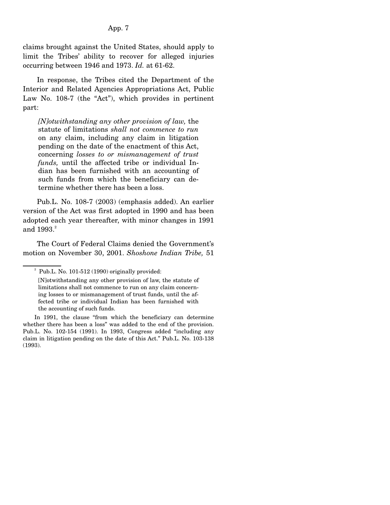### App. 7

claims brought against the United States, should apply to limit the Tribes' ability to recover for alleged injuries occurring between 1946 and 1973. *Id.* at 61-62.

 In response, the Tribes cited the Department of the Interior and Related Agencies Appropriations Act, Public Law No. 108-7 (the "Act"), which provides in pertinent part:

*[N]otwithstanding any other provision of law,* the statute of limitations *shall not commence to run* on any claim, including any claim in litigation pending on the date of the enactment of this Act, concerning *losses to or mismanagement of trust funds,* until the affected tribe or individual Indian has been furnished with an accounting of such funds from which the beneficiary can determine whether there has been a loss.

 Pub.L. No. 108-7 (2003) (emphasis added). An earlier version of the Act was first adopted in 1990 and has been adopted each year thereafter, with minor changes in 1991 and  $1993.<sup>2</sup>$ 

 The Court of Federal Claims denied the Government's motion on November 30, 2001. *Shoshone Indian Tribe,* 51

<sup>&</sup>lt;sup>2</sup> Pub.L. No. 101-512 (1990) originally provided:

<sup>[</sup>N]otwithstanding any other provision of law, the statute of limitations shall not commence to run on any claim concerning losses to or mismanagement of trust funds, until the affected tribe or individual Indian has been furnished with the accounting of such funds.

In 1991, the clause "from which the beneficiary can determine whether there has been a loss" was added to the end of the provision. Pub.L. No. 102-154 (1991). In 1993, Congress added "including any claim in litigation pending on the date of this Act." Pub.L. No. 103-138 (1993).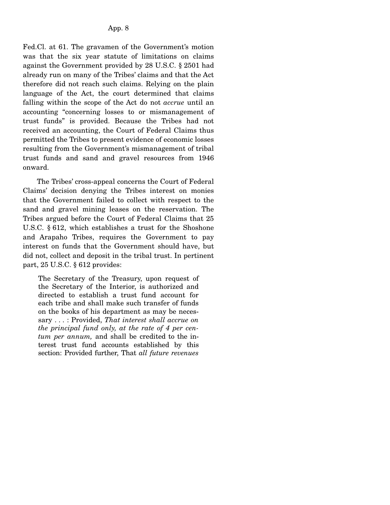Fed.Cl. at 61. The gravamen of the Government's motion was that the six year statute of limitations on claims against the Government provided by 28 U.S.C. § 2501 had already run on many of the Tribes' claims and that the Act therefore did not reach such claims. Relying on the plain language of the Act, the court determined that claims falling within the scope of the Act do not *accrue* until an accounting "concerning losses to or mismanagement of trust funds" is provided. Because the Tribes had not received an accounting, the Court of Federal Claims thus permitted the Tribes to present evidence of economic losses resulting from the Government's mismanagement of tribal trust funds and sand and gravel resources from 1946 onward.

 The Tribes' cross-appeal concerns the Court of Federal Claims' decision denying the Tribes interest on monies that the Government failed to collect with respect to the sand and gravel mining leases on the reservation. The Tribes argued before the Court of Federal Claims that 25 U.S.C. § 612, which establishes a trust for the Shoshone and Arapaho Tribes, requires the Government to pay interest on funds that the Government should have, but did not, collect and deposit in the tribal trust. In pertinent part, 25 U.S.C. § 612 provides:

The Secretary of the Treasury, upon request of the Secretary of the Interior, is authorized and directed to establish a trust fund account for each tribe and shall make such transfer of funds on the books of his department as may be necessary . . . : Provided, *That interest shall accrue on the principal fund only, at the rate of 4 per centum per annum,* and shall be credited to the interest trust fund accounts established by this section: Provided further, That *all future revenues*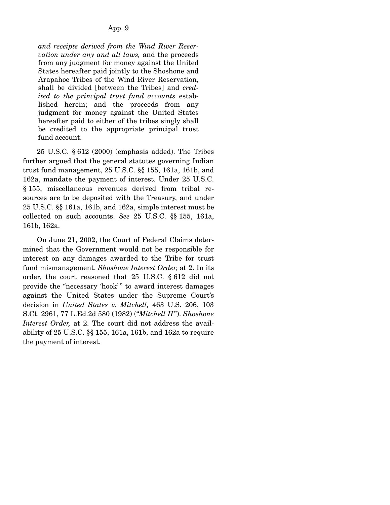*and receipts derived from the Wind River Reservation under any and all laws,* and the proceeds from any judgment for money against the United States hereafter paid jointly to the Shoshone and Arapahoe Tribes of the Wind River Reservation, shall be divided [between the Tribes] and *credited to the principal trust fund accounts* established herein; and the proceeds from any judgment for money against the United States hereafter paid to either of the tribes singly shall be credited to the appropriate principal trust fund account.

 25 U.S.C. § 612 (2000) (emphasis added). The Tribes further argued that the general statutes governing Indian trust fund management, 25 U.S.C. §§ 155, 161a, 161b, and 162a, mandate the payment of interest. Under 25 U.S.C. § 155, miscellaneous revenues derived from tribal resources are to be deposited with the Treasury, and under 25 U.S.C. §§ 161a, 161b, and 162a, simple interest must be collected on such accounts. *See* 25 U.S.C. §§ 155, 161a, 161b, 162a.

 On June 21, 2002, the Court of Federal Claims determined that the Government would not be responsible for interest on any damages awarded to the Tribe for trust fund mismanagement. *Shoshone Interest Order,* at 2. In its order, the court reasoned that 25 U.S.C. § 612 did not provide the "necessary 'hook'" to award interest damages against the United States under the Supreme Court's decision in *United States v. Mitchell,* 463 U.S. 206, 103 S.Ct. 2961, 77 L.Ed.2d 580 (1982) ("*Mitchell II*"). *Shoshone Interest Order,* at 2. The court did not address the availability of 25 U.S.C. §§ 155, 161a, 161b, and 162a to require the payment of interest.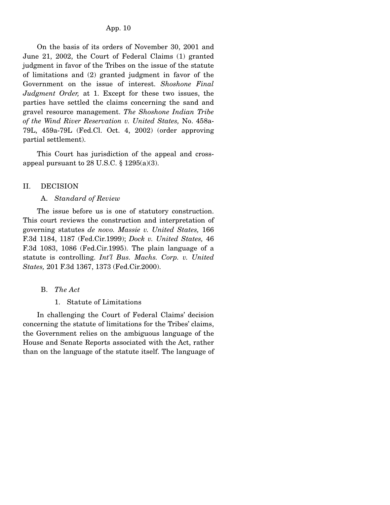#### App. 10

 On the basis of its orders of November 30, 2001 and June 21, 2002, the Court of Federal Claims (1) granted judgment in favor of the Tribes on the issue of the statute of limitations and (2) granted judgment in favor of the Government on the issue of interest. *Shoshone Final Judgment Order,* at 1. Except for these two issues, the parties have settled the claims concerning the sand and gravel resource management. *The Shoshone Indian Tribe of the Wind River Reservation v. United States,* No. 458a-79L, 459a-79L (Fed.Cl. Oct. 4, 2002) (order approving partial settlement).

 This Court has jurisdiction of the appeal and crossappeal pursuant to 28 U.S.C.  $\S$  1295(a)(3).

#### II. DECISION

#### A. *Standard of Review*

 The issue before us is one of statutory construction. This court reviews the construction and interpretation of governing statutes *de novo. Massie v. United States,* 166 F.3d 1184, 1187 (Fed.Cir.1999); *Dock v. United States,* 46 F.3d 1083, 1086 (Fed.Cir.1995). The plain language of a statute is controlling. *Int'l Bus. Machs. Corp. v. United States,* 201 F.3d 1367, 1373 (Fed.Cir.2000).

- B. *The Act* 
	- 1. Statute of Limitations

 In challenging the Court of Federal Claims' decision concerning the statute of limitations for the Tribes' claims, the Government relies on the ambiguous language of the House and Senate Reports associated with the Act, rather than on the language of the statute itself. The language of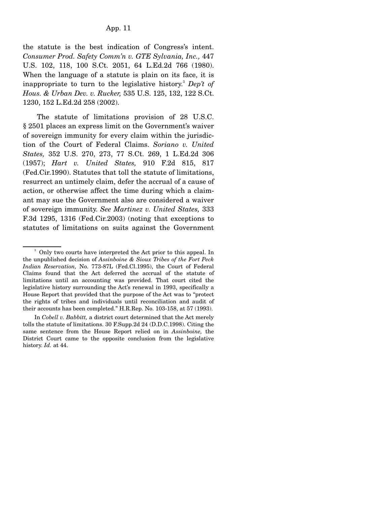the statute is the best indication of Congress's intent. *Consumer Prod. Safety Comm'n v. GTE Sylvania, Inc.,* 447 U.S. 102, 118, 100 S.Ct. 2051, 64 L.Ed.2d 766 (1980). When the language of a statute is plain on its face, it is inappropriate to turn to the legislative history.3 *Dep't of Hous. & Urban Dev. v. Rucker,* 535 U.S. 125, 132, 122 S.Ct. 1230, 152 L.Ed.2d 258 (2002).

 The statute of limitations provision of 28 U.S.C. § 2501 places an express limit on the Government's waiver of sovereign immunity for every claim within the jurisdiction of the Court of Federal Claims. *Soriano v. United States,* 352 U.S. 270, 273, 77 S.Ct. 269, 1 L.Ed.2d 306 (1957); *Hart v. United States,* 910 F.2d 815, 817 (Fed.Cir.1990). Statutes that toll the statute of limitations, resurrect an untimely claim, defer the accrual of a cause of action, or otherwise affect the time during which a claimant may sue the Government also are considered a waiver of sovereign immunity. *See Martinez v. United States,* 333 F.3d 1295, 1316 (Fed.Cir.2003) (noting that exceptions to statutes of limitations on suits against the Government

<sup>&</sup>lt;sup>3</sup> Only two courts have interpreted the Act prior to this appeal. In the unpublished decision of *Assinboine & Sioux Tribes of the Fort Peck Indian Reservation,* No. 773-87L (Fed.Cl.1995), the Court of Federal Claims found that the Act deferred the accrual of the statute of limitations until an accounting was provided. That court cited the legislative history surrounding the Act's renewal in 1993, specifically a House Report that provided that the purpose of the Act was to "protect the rights of tribes and individuals until reconciliation and audit of their accounts has been completed." H.R.Rep. No. 103-158, at 57 (1993).

In *Cobell v. Babbitt,* a district court determined that the Act merely tolls the statute of limitations. 30 F.Supp.2d 24 (D.D.C.1998). Citing the same sentence from the House Report relied on in *Assinboine,* the District Court came to the opposite conclusion from the legislative history. *Id.* at 44.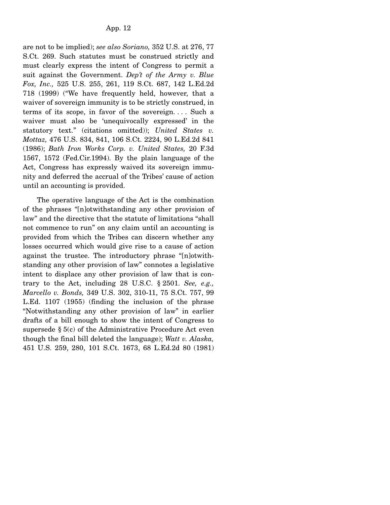are not to be implied); *see also Soriano,* 352 U.S. at 276, 77 S.Ct. 269. Such statutes must be construed strictly and must clearly express the intent of Congress to permit a suit against the Government. *Dep't of the Army v. Blue Fox, Inc.,* 525 U.S. 255, 261, 119 S.Ct. 687, 142 L.Ed.2d 718 (1999) ("We have frequently held, however, that a waiver of sovereign immunity is to be strictly construed, in terms of its scope, in favor of the sovereign. . . . Such a waiver must also be 'unequivocally expressed' in the statutory text." (citations omitted)); *United States v. Mottaz,* 476 U.S. 834, 841, 106 S.Ct. 2224, 90 L.Ed.2d 841 (1986); *Bath Iron Works Corp. v. United States,* 20 F.3d 1567, 1572 (Fed.Cir.1994). By the plain language of the Act, Congress has expressly waived its sovereign immunity and deferred the accrual of the Tribes' cause of action until an accounting is provided.

 The operative language of the Act is the combination of the phrases "[n]otwithstanding any other provision of law" and the directive that the statute of limitations "shall not commence to run" on any claim until an accounting is provided from which the Tribes can discern whether any losses occurred which would give rise to a cause of action against the trustee. The introductory phrase "[n]otwithstanding any other provision of law" connotes a legislative intent to displace any other provision of law that is contrary to the Act, including 28 U.S.C. § 2501. *See, e.g., Marcello v. Bonds,* 349 U.S. 302, 310-11, 75 S.Ct. 757, 99 L.Ed. 1107 (1955) (finding the inclusion of the phrase "Notwithstanding any other provision of law" in earlier drafts of a bill enough to show the intent of Congress to supersede  $\S$  5(c) of the Administrative Procedure Act even though the final bill deleted the language); *Watt v. Alaska,* 451 U.S. 259, 280, 101 S.Ct. 1673, 68 L.Ed.2d 80 (1981)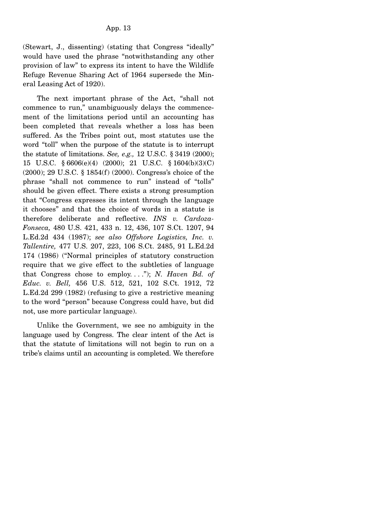(Stewart, J., dissenting) (stating that Congress "ideally" would have used the phrase "notwithstanding any other provision of law" to express its intent to have the Wildlife Refuge Revenue Sharing Act of 1964 supersede the Mineral Leasing Act of 1920).

 The next important phrase of the Act, "shall not commence to run," unambiguously delays the commencement of the limitations period until an accounting has been completed that reveals whether a loss has been suffered. As the Tribes point out, most statutes use the word "toll" when the purpose of the statute is to interrupt the statute of limitations. *See, e.g.,* 12 U.S.C. § 3419 (2000); 15 U.S.C. § 6606(e)(4) (2000); 21 U.S.C. § 1604(b)(3)(C) (2000); 29 U.S.C. § 1854(f) (2000). Congress's choice of the phrase "shall not commence to run" instead of "tolls" should be given effect. There exists a strong presumption that "Congress expresses its intent through the language it chooses" and that the choice of words in a statute is therefore deliberate and reflective. *INS v. Cardoza-Fonseca,* 480 U.S. 421, 433 n. 12, 436, 107 S.Ct. 1207, 94 L.Ed.2d 434 (1987); *see also Offshore Logistics, Inc. v. Tallentire,* 477 U.S. 207, 223, 106 S.Ct. 2485, 91 L.Ed.2d 174 (1986) ("Normal principles of statutory construction require that we give effect to the subtleties of language that Congress chose to employ. . . ."); *N. Haven Bd. of Educ. v. Bell,* 456 U.S. 512, 521, 102 S.Ct. 1912, 72 L.Ed.2d 299 (1982) (refusing to give a restrictive meaning to the word "person" because Congress could have, but did not, use more particular language).

 Unlike the Government, we see no ambiguity in the language used by Congress. The clear intent of the Act is that the statute of limitations will not begin to run on a tribe's claims until an accounting is completed. We therefore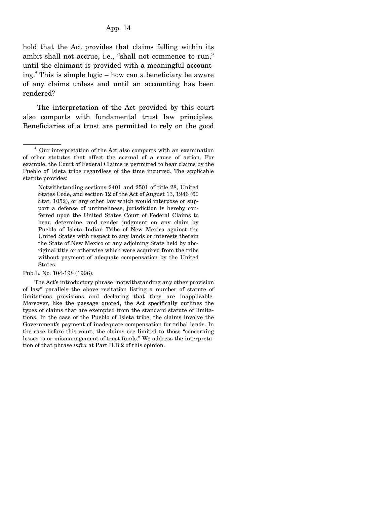# App. 14

hold that the Act provides that claims falling within its ambit shall not accrue, i.e., "shall not commence to run," until the claimant is provided with a meaningful accounting.<sup>4</sup> This is simple logic – how can a beneficiary be aware of any claims unless and until an accounting has been rendered?

 The interpretation of the Act provided by this court also comports with fundamental trust law principles. Beneficiaries of a trust are permitted to rely on the good

 The Act's introductory phrase "notwithstanding any other provision of law" parallels the above recitation listing a number of statute of limitations provisions and declaring that they are inapplicable. Moreover, like the passage quoted, the Act specifically outlines the types of claims that are exempted from the standard statute of limitations. In the case of the Pueblo of Isleta tribe, the claims involve the Government's payment of inadequate compensation for tribal lands. In the case before this court, the claims are limited to those "concerning losses to or mismanagement of trust funds." We address the interpretation of that phrase *infra* at Part II.B.2 of this opinion.

 $\sim$   $\frac{4}{3}$  Our interpretation of the Act also comports with an examination of other statutes that affect the accrual of a cause of action. For example, the Court of Federal Claims is permitted to hear claims by the Pueblo of Isleta tribe regardless of the time incurred. The applicable statute provides:

Notwithstanding sections 2401 and 2501 of title 28, United States Code, and section 12 of the Act of August 13, 1946 (60 Stat. 1052), or any other law which would interpose or support a defense of untimeliness, jurisdiction is hereby conferred upon the United States Court of Federal Claims to hear, determine, and render judgment on any claim by Pueblo of Isleta Indian Tribe of New Mexico against the United States with respect to any lands or interests therein the State of New Mexico or any adjoining State held by aboriginal title or otherwise which were acquired from the tribe without payment of adequate compensation by the United States.

Pub.L. No. 104-198 (1996).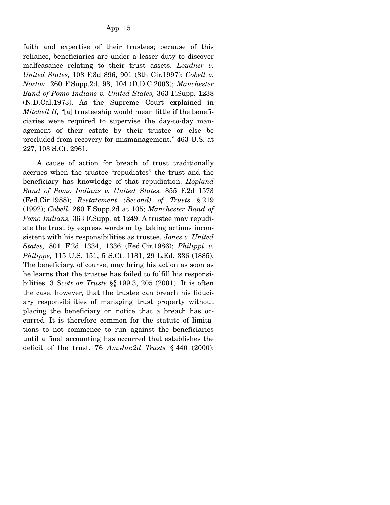faith and expertise of their trustees; because of this reliance, beneficiaries are under a lesser duty to discover malfeasance relating to their trust assets. *Loudner v. United States,* 108 F.3d 896, 901 (8th Cir.1997); *Cobell v. Norton,* 260 F.Supp.2d. 98, 104 (D.D.C.2003); *Manchester Band of Pomo Indians v. United States,* 363 F.Supp. 1238 (N.D.Cal.1973). As the Supreme Court explained in *Mitchell II,* "[a] trusteeship would mean little if the beneficiaries were required to supervise the day-to-day management of their estate by their trustee or else be precluded from recovery for mismanagement." 463 U.S. at 227, 103 S.Ct. 2961.

 A cause of action for breach of trust traditionally accrues when the trustee "repudiates" the trust and the beneficiary has knowledge of that repudiation. *Hopland Band of Pomo Indians v. United States,* 855 F.2d 1573 (Fed.Cir.1988); *Restatement (Second) of Trusts* § 219 (1992); *Cobell,* 260 F.Supp.2d at 105; *Manchester Band of Pomo Indians,* 363 F.Supp. at 1249. A trustee may repudiate the trust by express words or by taking actions inconsistent with his responsibilities as trustee. *Jones v. United States,* 801 F.2d 1334, 1336 (Fed.Cir.1986); *Philippi v. Philippe,* 115 U.S. 151, 5 S.Ct. 1181, 29 L.Ed. 336 (1885). The beneficiary, of course, may bring his action as soon as he learns that the trustee has failed to fulfill his responsibilities. 3 *Scott on Trusts* §§ 199.3, 205 (2001). It is often the case, however, that the trustee can breach his fiduciary responsibilities of managing trust property without placing the beneficiary on notice that a breach has occurred. It is therefore common for the statute of limitations to not commence to run against the beneficiaries until a final accounting has occurred that establishes the deficit of the trust. 76 *Am.Jur.2d Trusts* § 440 (2000);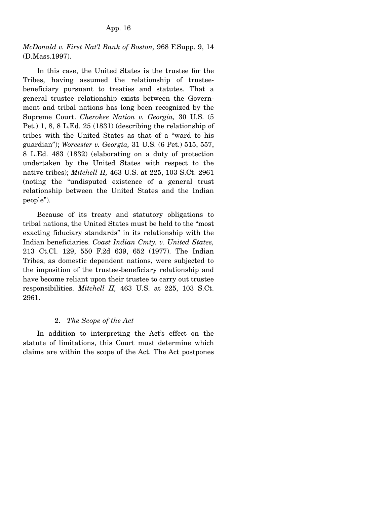# *McDonald v. First Nat'l Bank of Boston,* 968 F.Supp. 9, 14 (D.Mass.1997).

 In this case, the United States is the trustee for the Tribes, having assumed the relationship of trusteebeneficiary pursuant to treaties and statutes. That a general trustee relationship exists between the Government and tribal nations has long been recognized by the Supreme Court. *Cherokee Nation v. Georgia,* 30 U.S. (5 Pet.) 1, 8, 8 L.Ed. 25 (1831) (describing the relationship of tribes with the United States as that of a "ward to his guardian"); *Worcester v. Georgia,* 31 U.S. (6 Pet.) 515, 557, 8 L.Ed. 483 (1832) (elaborating on a duty of protection undertaken by the United States with respect to the native tribes); *Mitchell II,* 463 U.S. at 225, 103 S.Ct. 2961 (noting the "undisputed existence of a general trust relationship between the United States and the Indian people").

 Because of its treaty and statutory obligations to tribal nations, the United States must be held to the "most exacting fiduciary standards" in its relationship with the Indian beneficiaries. *Coast Indian Cmty. v. United States,* 213 Ct.Cl. 129, 550 F.2d 639, 652 (1977). The Indian Tribes, as domestic dependent nations, were subjected to the imposition of the trustee-beneficiary relationship and have become reliant upon their trustee to carry out trustee responsibilities. *Mitchell II,* 463 U.S. at 225, 103 S.Ct. 2961.

# 2. *The Scope of the Act*

 In addition to interpreting the Act's effect on the statute of limitations, this Court must determine which claims are within the scope of the Act. The Act postpones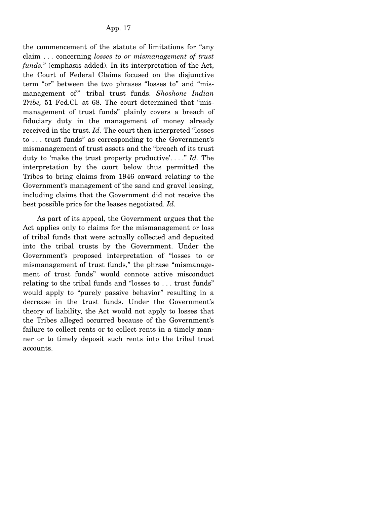the commencement of the statute of limitations for "any claim . . . concerning *losses to or mismanagement of trust funds.*" (emphasis added). In its interpretation of the Act, the Court of Federal Claims focused on the disjunctive term "or" between the two phrases "losses to" and "mismanagement of" tribal trust funds. Shoshone Indian *Tribe,* 51 Fed.Cl. at 68. The court determined that "mismanagement of trust funds" plainly covers a breach of fiduciary duty in the management of money already received in the trust. *Id.* The court then interpreted "losses to . . . trust funds" as corresponding to the Government's mismanagement of trust assets and the "breach of its trust duty to 'make the trust property productive'. . . ." *Id.* The interpretation by the court below thus permitted the Tribes to bring claims from 1946 onward relating to the Government's management of the sand and gravel leasing, including claims that the Government did not receive the best possible price for the leases negotiated. *Id.*

 As part of its appeal, the Government argues that the Act applies only to claims for the mismanagement or loss of tribal funds that were actually collected and deposited into the tribal trusts by the Government. Under the Government's proposed interpretation of "losses to or mismanagement of trust funds," the phrase "mismanagement of trust funds" would connote active misconduct relating to the tribal funds and "losses to . . . trust funds" would apply to "purely passive behavior" resulting in a decrease in the trust funds. Under the Government's theory of liability, the Act would not apply to losses that the Tribes alleged occurred because of the Government's failure to collect rents or to collect rents in a timely manner or to timely deposit such rents into the tribal trust accounts.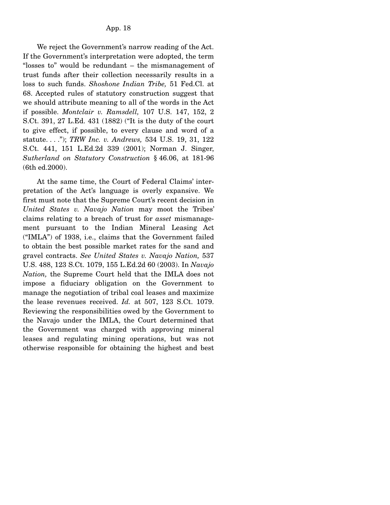We reject the Government's narrow reading of the Act. If the Government's interpretation were adopted, the term "losses to" would be redundant – the mismanagement of trust funds after their collection necessarily results in a loss to such funds. *Shoshone Indian Tribe,* 51 Fed.Cl. at 68. Accepted rules of statutory construction suggest that we should attribute meaning to all of the words in the Act if possible. *Montclair v. Ramsdell,* 107 U.S. 147, 152, 2 S.Ct. 391, 27 L.Ed. 431 (1882) ("It is the duty of the court to give effect, if possible, to every clause and word of a statute. . . ."); *TRW Inc. v. Andrews,* 534 U.S. 19, 31, 122 S.Ct. 441, 151 L.Ed.2d 339 (2001); Norman J. Singer, *Sutherland on Statutory Construction* § 46.06, at 181-96 (6th ed.2000).

 At the same time, the Court of Federal Claims' interpretation of the Act's language is overly expansive. We first must note that the Supreme Court's recent decision in *United States v. Navajo Nation* may moot the Tribes' claims relating to a breach of trust for *asset* mismanagement pursuant to the Indian Mineral Leasing Act ("IMLA") of 1938, i.e., claims that the Government failed to obtain the best possible market rates for the sand and gravel contracts. *See United States v. Navajo Nation,* 537 U.S. 488, 123 S.Ct. 1079, 155 L.Ed.2d 60 (2003). In *Navajo Nation,* the Supreme Court held that the IMLA does not impose a fiduciary obligation on the Government to manage the negotiation of tribal coal leases and maximize the lease revenues received. *Id.* at 507, 123 S.Ct. 1079. Reviewing the responsibilities owed by the Government to the Navajo under the IMLA, the Court determined that the Government was charged with approving mineral leases and regulating mining operations, but was not otherwise responsible for obtaining the highest and best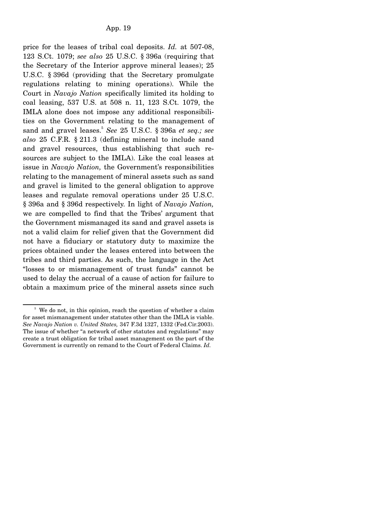price for the leases of tribal coal deposits. *Id.* at 507-08, 123 S.Ct. 1079; *see also* 25 U.S.C. § 396a (requiring that the Secretary of the Interior approve mineral leases); 25 U.S.C. § 396d (providing that the Secretary promulgate regulations relating to mining operations). While the Court in *Navajo Nation* specifically limited its holding to coal leasing, 537 U.S. at 508 n. 11, 123 S.Ct. 1079, the IMLA alone does not impose any additional responsibilities on the Government relating to the management of sand and gravel leases.<sup>5</sup> See 25 U.S.C. § 396a et seq.; see *also* 25 C.F.R. § 211.3 (defining mineral to include sand and gravel resources, thus establishing that such resources are subject to the IMLA). Like the coal leases at issue in *Navajo Nation,* the Government's responsibilities relating to the management of mineral assets such as sand and gravel is limited to the general obligation to approve leases and regulate removal operations under 25 U.S.C. § 396a and § 396d respectively. In light of *Navajo Nation,* we are compelled to find that the Tribes' argument that the Government mismanaged its sand and gravel assets is not a valid claim for relief given that the Government did not have a fiduciary or statutory duty to maximize the prices obtained under the leases entered into between the tribes and third parties. As such, the language in the Act "losses to or mismanagement of trust funds" cannot be used to delay the accrual of a cause of action for failure to obtain a maximum price of the mineral assets since such

<sup>&</sup>lt;sup>5</sup> We do not, in this opinion, reach the question of whether a claim for asset mismanagement under statutes other than the IMLA is viable. *See Navajo Nation v. United States,* 347 F.3d 1327, 1332 (Fed.Cir.2003). The issue of whether "a network of other statutes and regulations" may create a trust obligation for tribal asset management on the part of the Government is currently on remand to the Court of Federal Claims. *Id.*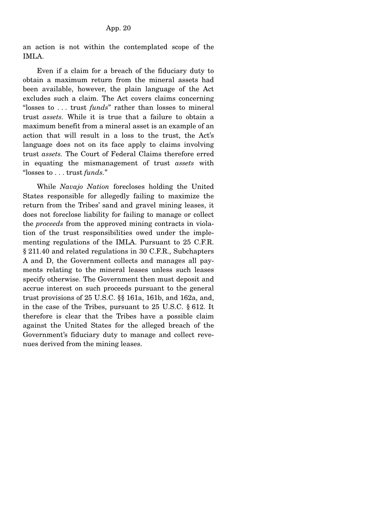an action is not within the contemplated scope of the IMLA.

 Even if a claim for a breach of the fiduciary duty to obtain a maximum return from the mineral assets had been available, however, the plain language of the Act excludes such a claim. The Act covers claims concerning "losses to . . . trust *funds*" rather than losses to mineral trust *assets.* While it is true that a failure to obtain a maximum benefit from a mineral asset is an example of an action that will result in a loss to the trust, the Act's language does not on its face apply to claims involving trust *assets.* The Court of Federal Claims therefore erred in equating the mismanagement of trust *assets* with "losses to . . . trust *funds.*"

 While *Navajo Nation* forecloses holding the United States responsible for allegedly failing to maximize the return from the Tribes' sand and gravel mining leases, it does not foreclose liability for failing to manage or collect the *proceeds* from the approved mining contracts in violation of the trust responsibilities owed under the implementing regulations of the IMLA. Pursuant to 25 C.F.R. § 211.40 and related regulations in 30 C.F.R., Subchapters A and D, the Government collects and manages all payments relating to the mineral leases unless such leases specify otherwise. The Government then must deposit and accrue interest on such proceeds pursuant to the general trust provisions of 25 U.S.C. §§ 161a, 161b, and 162a, and, in the case of the Tribes, pursuant to 25 U.S.C. § 612. It therefore is clear that the Tribes have a possible claim against the United States for the alleged breach of the Government's fiduciary duty to manage and collect revenues derived from the mining leases.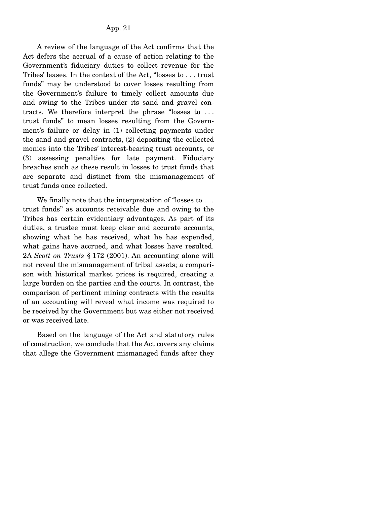A review of the language of the Act confirms that the Act defers the accrual of a cause of action relating to the Government's fiduciary duties to collect revenue for the Tribes' leases. In the context of the Act, "losses to . . . trust funds" may be understood to cover losses resulting from the Government's failure to timely collect amounts due and owing to the Tribes under its sand and gravel contracts. We therefore interpret the phrase "losses to . . . trust funds" to mean losses resulting from the Government's failure or delay in (1) collecting payments under the sand and gravel contracts, (2) depositing the collected monies into the Tribes' interest-bearing trust accounts, or (3) assessing penalties for late payment. Fiduciary breaches such as these result in losses to trust funds that are separate and distinct from the mismanagement of trust funds once collected.

 We finally note that the interpretation of "losses to . . . trust funds" as accounts receivable due and owing to the Tribes has certain evidentiary advantages. As part of its duties, a trustee must keep clear and accurate accounts, showing what he has received, what he has expended, what gains have accrued, and what losses have resulted. 2A *Scott on Trusts* § 172 (2001). An accounting alone will not reveal the mismanagement of tribal assets; a comparison with historical market prices is required, creating a large burden on the parties and the courts. In contrast, the comparison of pertinent mining contracts with the results of an accounting will reveal what income was required to be received by the Government but was either not received or was received late.

 Based on the language of the Act and statutory rules of construction, we conclude that the Act covers any claims that allege the Government mismanaged funds after they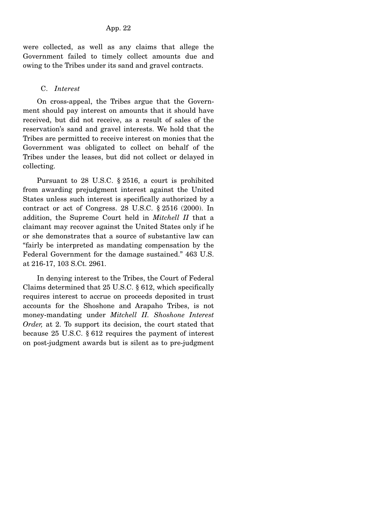were collected, as well as any claims that allege the Government failed to timely collect amounts due and owing to the Tribes under its sand and gravel contracts.

# C. *Interest*

 On cross-appeal, the Tribes argue that the Government should pay interest on amounts that it should have received, but did not receive, as a result of sales of the reservation's sand and gravel interests. We hold that the Tribes are permitted to receive interest on monies that the Government was obligated to collect on behalf of the Tribes under the leases, but did not collect or delayed in collecting.

 Pursuant to 28 U.S.C. § 2516, a court is prohibited from awarding prejudgment interest against the United States unless such interest is specifically authorized by a contract or act of Congress. 28 U.S.C. § 2516 (2000). In addition, the Supreme Court held in *Mitchell II* that a claimant may recover against the United States only if he or she demonstrates that a source of substantive law can "fairly be interpreted as mandating compensation by the Federal Government for the damage sustained." 463 U.S. at 216-17, 103 S.Ct. 2961.

 In denying interest to the Tribes, the Court of Federal Claims determined that 25 U.S.C. § 612, which specifically requires interest to accrue on proceeds deposited in trust accounts for the Shoshone and Arapaho Tribes, is not money-mandating under *Mitchell II. Shoshone Interest Order,* at 2. To support its decision, the court stated that because 25 U.S.C. § 612 requires the payment of interest on post-judgment awards but is silent as to pre-judgment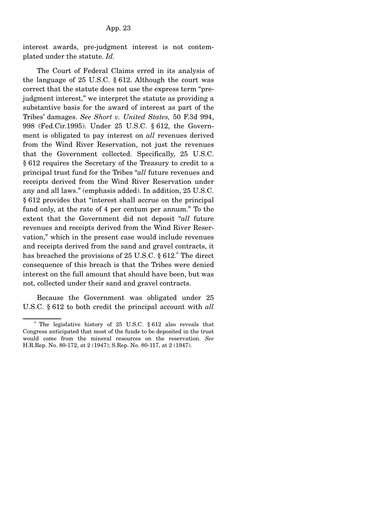interest awards, pre-judgment interest is not contemplated under the statute. *Id.*

 The Court of Federal Claims erred in its analysis of the language of 25 U.S.C. § 612. Although the court was correct that the statute does not use the express term "prejudgment interest," we interpret the statute as providing a substantive basis for the award of interest as part of the Tribes' damages. *See Short v. United States,* 50 F.3d 994, 998 (Fed.Cir.1995). Under 25 U.S.C. § 612, the Government is obligated to pay interest on *all* revenues derived from the Wind River Reservation, not just the revenues that the Government collected. Specifically, 25 U.S.C. § 612 requires the Secretary of the Treasury to credit to a principal trust fund for the Tribes "*all* future revenues and receipts derived from the Wind River Reservation under any and all laws." (emphasis added). In addition, 25 U.S.C. § 612 provides that "interest shall accrue on the principal fund only, at the rate of 4 per centum per annum." To the extent that the Government did not deposit "*all* future revenues and receipts derived from the Wind River Reservation," which in the present case would include revenues and receipts derived from the sand and gravel contracts, it has breached the provisions of 25 U.S.C.  $\S 612$ . <sup>6</sup> The direct consequence of this breach is that the Tribes were denied interest on the full amount that should have been, but was not, collected under their sand and gravel contracts.

 Because the Government was obligated under 25 U.S.C. § 612 to both credit the principal account with *all*

<sup>&</sup>lt;sup>6</sup> The legislative history of 25 U.S.C. § 612 also reveals that Congress anticipated that most of the funds to be deposited in the trust would come from the mineral resources on the reservation. *See* H.R.Rep. No. 80-172, at 2 (1947); S.Rep. No. 80-117, at 2 (1947).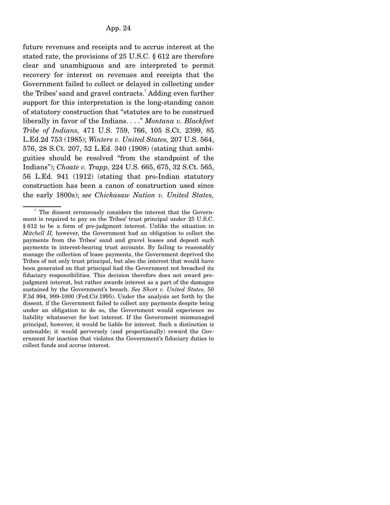future revenues and receipts and to accrue interest at the stated rate, the provisions of 25 U.S.C. § 612 are therefore clear and unambiguous and are interpreted to permit recovery for interest on revenues and receipts that the Government failed to collect or delayed in collecting under the Tribes' sand and gravel contracts.<sup>7</sup> Adding even further support for this interpretation is the long-standing canon of statutory construction that "statutes are to be construed liberally in favor of the Indians. . . ." *Montana v. Blackfeet Tribe of Indians,* 471 U.S. 759, 766, 105 S.Ct. 2399, 85 L.Ed.2d 753 (1985); *Winters v. United States,* 207 U.S. 564, 576, 28 S.Ct. 207, 52 L.Ed. 340 (1908) (stating that ambiguities should be resolved "from the standpoint of the Indians"); *Choate v. Trapp,* 224 U.S. 665, 675, 32 S.Ct. 565, 56 L.Ed. 941 (1912) (stating that pro-Indian statutory construction has been a canon of construction used since the early 1800s); *see Chickasaw Nation v. United States,*

<sup>7</sup> The dissent erroneously considers the interest that the Government is required to pay on the Tribes' trust principal under 25 U.S.C. § 612 to be a form of pre-judgment interest. Unlike the situation in *Mitchell II,* however, the Government had an obligation to collect the payments from the Tribes' sand and gravel leases and deposit such payments in interest-bearing trust accounts. By failing to reasonably manage the collection of lease payments, the Government deprived the Tribes of not only trust principal, but also the interest that would have been generated on that principal had the Government not breached its fiduciary responsibilities. This decision therefore does not award prejudgment interest, but rather awards interest as a part of the damages sustained by the Government's breach. *See Short v. United States,* 50 F.3d 994, 999-1000 (Fed.Cir.1995). Under the analysis set forth by the dissent, if the Government failed to collect any payments despite being under an obligation to do so, the Government would experience no liability whatsoever for lost interest. If the Government mismanaged principal, however, it would be liable for interest. Such a distinction is untenable; it would perversely (and proportionally) reward the Government for inaction that violates the Government's fiduciary duties to collect funds and accrue interest.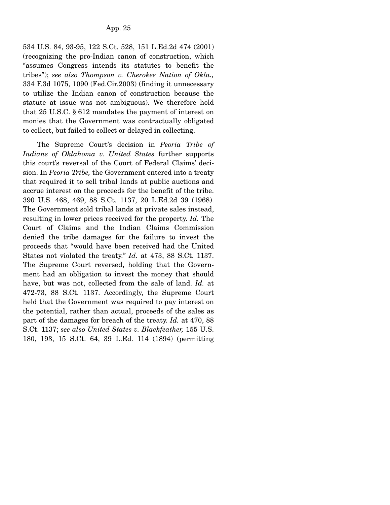534 U.S. 84, 93-95, 122 S.Ct. 528, 151 L.Ed.2d 474 (2001) (recognizing the pro-Indian canon of construction, which "assumes Congress intends its statutes to benefit the tribes"); *see also Thompson v. Cherokee Nation of Okla.,* 334 F.3d 1075, 1090 (Fed.Cir.2003) (finding it unnecessary to utilize the Indian canon of construction because the statute at issue was not ambiguous). We therefore hold that 25 U.S.C. § 612 mandates the payment of interest on monies that the Government was contractually obligated to collect, but failed to collect or delayed in collecting.

 The Supreme Court's decision in *Peoria Tribe of Indians of Oklahoma v. United States* further supports this court's reversal of the Court of Federal Claims' decision. In *Peoria Tribe,* the Government entered into a treaty that required it to sell tribal lands at public auctions and accrue interest on the proceeds for the benefit of the tribe. 390 U.S. 468, 469, 88 S.Ct. 1137, 20 L.Ed.2d 39 (1968). The Government sold tribal lands at private sales instead, resulting in lower prices received for the property. *Id.* The Court of Claims and the Indian Claims Commission denied the tribe damages for the failure to invest the proceeds that "would have been received had the United States not violated the treaty." *Id.* at 473, 88 S.Ct. 1137. The Supreme Court reversed, holding that the Government had an obligation to invest the money that should have, but was not, collected from the sale of land. *Id.* at 472-73, 88 S.Ct. 1137. Accordingly, the Supreme Court held that the Government was required to pay interest on the potential, rather than actual, proceeds of the sales as part of the damages for breach of the treaty. *Id.* at 470, 88 S.Ct. 1137; *see also United States v. Blackfeather,* 155 U.S. 180, 193, 15 S.Ct. 64, 39 L.Ed. 114 (1894) (permitting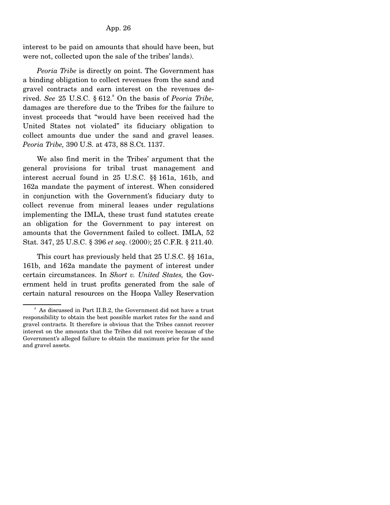interest to be paid on amounts that should have been, but were not, collected upon the sale of the tribes' lands).

 *Peoria Tribe* is directly on point. The Government has a binding obligation to collect revenues from the sand and gravel contracts and earn interest on the revenues derived. See 25 U.S.C. § 612.<sup>8</sup> On the basis of *Peoria Tribe*, damages are therefore due to the Tribes for the failure to invest proceeds that "would have been received had the United States not violated" its fiduciary obligation to collect amounts due under the sand and gravel leases. *Peoria Tribe,* 390 U.S. at 473, 88 S.Ct. 1137.

 We also find merit in the Tribes' argument that the general provisions for tribal trust management and interest accrual found in 25 U.S.C. §§ 161a, 161b, and 162a mandate the payment of interest. When considered in conjunction with the Government's fiduciary duty to collect revenue from mineral leases under regulations implementing the IMLA, these trust fund statutes create an obligation for the Government to pay interest on amounts that the Government failed to collect. IMLA, 52 Stat. 347, 25 U.S.C. § 396 *et seq.* (2000); 25 C.F.R. § 211.40.

 This court has previously held that 25 U.S.C. §§ 161a, 161b, and 162a mandate the payment of interest under certain circumstances. In *Short v. United States,* the Government held in trust profits generated from the sale of certain natural resources on the Hoopa Valley Reservation

<sup>8</sup> As discussed in Part II.B.2, the Government did not have a trust responsibility to obtain the best possible market rates for the sand and gravel contracts. It therefore is obvious that the Tribes cannot recover interest on the amounts that the Tribes did not receive because of the Government's alleged failure to obtain the maximum price for the sand and gravel assets.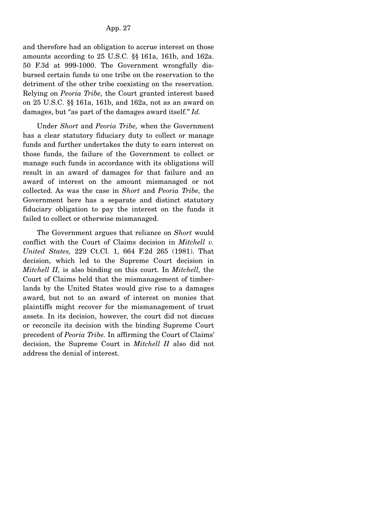and therefore had an obligation to accrue interest on those amounts according to 25 U.S.C. §§ 161a, 161b, and 162a. 50 F.3d at 999-1000. The Government wrongfully disbursed certain funds to one tribe on the reservation to the detriment of the other tribe coexisting on the reservation. Relying on *Peoria Tribe,* the Court granted interest based on 25 U.S.C. §§ 161a, 161b, and 162a, not as an award on damages, but "as part of the damages award itself." *Id.*

 Under *Short* and *Peoria Tribe,* when the Government has a clear statutory fiduciary duty to collect or manage funds and further undertakes the duty to earn interest on those funds, the failure of the Government to collect or manage such funds in accordance with its obligations will result in an award of damages for that failure and an award of interest on the amount mismanaged or not collected. As was the case in *Short* and *Peoria Tribe,* the Government here has a separate and distinct statutory fiduciary obligation to pay the interest on the funds it failed to collect or otherwise mismanaged.

 The Government argues that reliance on *Short* would conflict with the Court of Claims decision in *Mitchell v. United States,* 229 Ct.Cl. 1, 664 F.2d 265 (1981). That decision, which led to the Supreme Court decision in *Mitchell II,* is also binding on this court. In *Mitchell,* the Court of Claims held that the mismanagement of timberlands by the United States would give rise to a damages award, but not to an award of interest on monies that plaintiffs might recover for the mismanagement of trust assets. In its decision, however, the court did not discuss or reconcile its decision with the binding Supreme Court precedent of *Peoria Tribe.* In affirming the Court of Claims' decision, the Supreme Court in *Mitchell II* also did not address the denial of interest.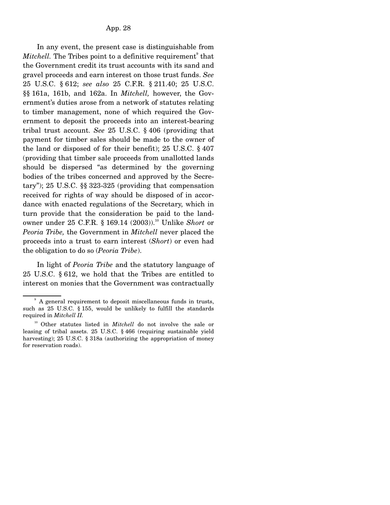In any event, the present case is distinguishable from *Mitchell*. The Tribes point to a definitive requirement<sup>9</sup> that the Government credit its trust accounts with its sand and gravel proceeds and earn interest on those trust funds. *See* 25 U.S.C. § 612; *see also* 25 C.F.R. § 211.40; 25 U.S.C. §§ 161a, 161b, and 162a. In *Mitchell,* however, the Government's duties arose from a network of statutes relating to timber management, none of which required the Government to deposit the proceeds into an interest-bearing tribal trust account. *See* 25 U.S.C. § 406 (providing that payment for timber sales should be made to the owner of the land or disposed of for their benefit); 25 U.S.C. § 407 (providing that timber sale proceeds from unallotted lands should be dispersed "as determined by the governing bodies of the tribes concerned and approved by the Secretary"); 25 U.S.C. §§ 323-325 (providing that compensation received for rights of way should be disposed of in accordance with enacted regulations of the Secretary, which in turn provide that the consideration be paid to the landowner under 25 C.F.R. § 169.14 (2003)).10 Unlike *Short* or *Peoria Tribe,* the Government in *Mitchell* never placed the proceeds into a trust to earn interest (*Short*) or even had the obligation to do so (*Peoria Tribe*).

 In light of *Peoria Tribe* and the statutory language of 25 U.S.C. § 612, we hold that the Tribes are entitled to interest on monies that the Government was contractually

<sup>9</sup> A general requirement to deposit miscellaneous funds in trusts, such as 25 U.S.C. § 155, would be unlikely to fulfill the standards required in *Mitchell II.*

<sup>&</sup>lt;sup>10</sup> Other statutes listed in *Mitchell* do not involve the sale or leasing of tribal assets. 25 U.S.C. § 466 (requiring sustainable yield harvesting); 25 U.S.C. § 318a (authorizing the appropriation of money for reservation roads).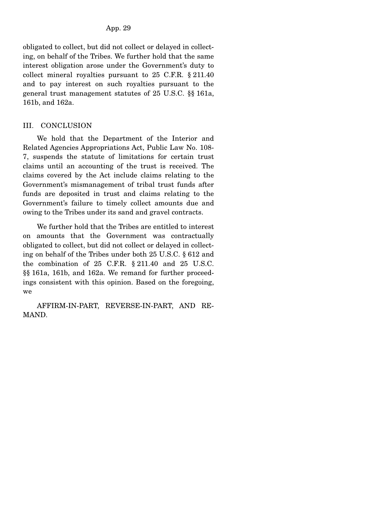obligated to collect, but did not collect or delayed in collecting, on behalf of the Tribes. We further hold that the same interest obligation arose under the Government's duty to collect mineral royalties pursuant to 25 C.F.R. § 211.40 and to pay interest on such royalties pursuant to the general trust management statutes of 25 U.S.C. §§ 161a, 161b, and 162a.

# III. CONCLUSION

 We hold that the Department of the Interior and Related Agencies Appropriations Act, Public Law No. 108- 7, suspends the statute of limitations for certain trust claims until an accounting of the trust is received. The claims covered by the Act include claims relating to the Government's mismanagement of tribal trust funds after funds are deposited in trust and claims relating to the Government's failure to timely collect amounts due and owing to the Tribes under its sand and gravel contracts.

 We further hold that the Tribes are entitled to interest on amounts that the Government was contractually obligated to collect, but did not collect or delayed in collecting on behalf of the Tribes under both 25 U.S.C. § 612 and the combination of 25 C.F.R. § 211.40 and 25 U.S.C. §§ 161a, 161b, and 162a. We remand for further proceedings consistent with this opinion. Based on the foregoing, we

 AFFIRM-IN-PART, REVERSE-IN-PART, AND RE-MAND.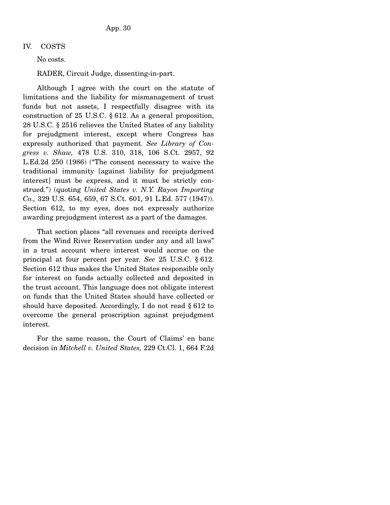## IV. COSTS

No costs.

RADER, Circuit Judge, dissenting-in-part.

 Although I agree with the court on the statute of limitations and the liability for mismanagement of trust funds but not assets, I respectfully disagree with its construction of 25 U.S.C. § 612. As a general proposition, 28 U.S.C. § 2516 relieves the United States of any liability for prejudgment interest, except where Congress has expressly authorized that payment. *See Library of Congress v. Shaw,* 478 U.S. 310, 318, 106 S.Ct. 2957, 92 L.Ed.2d 250 (1986) ("The consent necessary to waive the traditional immunity [against liability for prejudgment interest] must be express, and it must be strictly construed.") (quoting *United States v. N.Y. Rayon Importing Co.,* 329 U.S. 654, 659, 67 S.Ct. 601, 91 L.Ed. 577 (1947)). Section 612, to my eyes, does not expressly authorize awarding prejudgment interest as a part of the damages.

 That section places "all revenues and receipts derived from the Wind River Reservation under any and all laws" in a trust account where interest would accrue on the principal at four percent per year. *See* 25 U.S.C. § 612. Section 612 thus makes the United States responsible only for interest on funds actually collected and deposited in the trust account. This language does not obligate interest on funds that the United States should have collected or should have deposited. Accordingly, I do not read § 612 to overcome the general proscription against prejudgment interest.

 For the same reason, the Court of Claims' en banc decision in *Mitchell v. United States,* 229 Ct.Cl. 1, 664 F.2d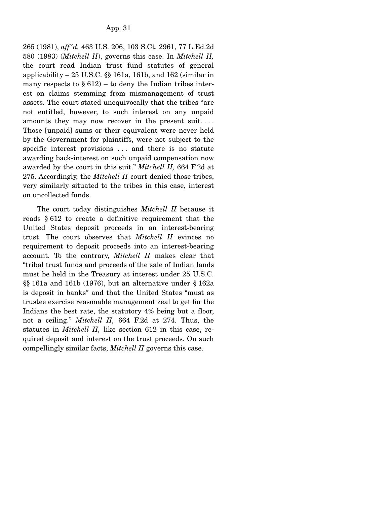265 (1981), *aff 'd,* 463 U.S. 206, 103 S.Ct. 2961, 77 L.Ed.2d 580 (1983) (*Mitchell II*), governs this case. In *Mitchell II,* the court read Indian trust fund statutes of general applicability  $-25$  U.S.C. §§ 161a, 161b, and 162 (similar in many respects to  $\S 612$  – to deny the Indian tribes interest on claims stemming from mismanagement of trust assets. The court stated unequivocally that the tribes "are not entitled, however, to such interest on any unpaid amounts they may now recover in the present suit. . . . Those [unpaid] sums or their equivalent were never held by the Government for plaintiffs, were not subject to the specific interest provisions ... and there is no statute awarding back-interest on such unpaid compensation now awarded by the court in this suit." *Mitchell II,* 664 F.2d at 275. Accordingly, the *Mitchell II* court denied those tribes, very similarly situated to the tribes in this case, interest on uncollected funds.

 The court today distinguishes *Mitchell II* because it reads § 612 to create a definitive requirement that the United States deposit proceeds in an interest-bearing trust. The court observes that *Mitchell II* evinces no requirement to deposit proceeds into an interest-bearing account. To the contrary, *Mitchell II* makes clear that "tribal trust funds and proceeds of the sale of Indian lands must be held in the Treasury at interest under 25 U.S.C. §§ 161a and 161b (1976), but an alternative under § 162a is deposit in banks" and that the United States "must as trustee exercise reasonable management zeal to get for the Indians the best rate, the statutory 4% being but a floor, not a ceiling." *Mitchell II,* 664 F.2d at 274. Thus, the statutes in *Mitchell II,* like section 612 in this case, required deposit and interest on the trust proceeds. On such compellingly similar facts, *Mitchell II* governs this case.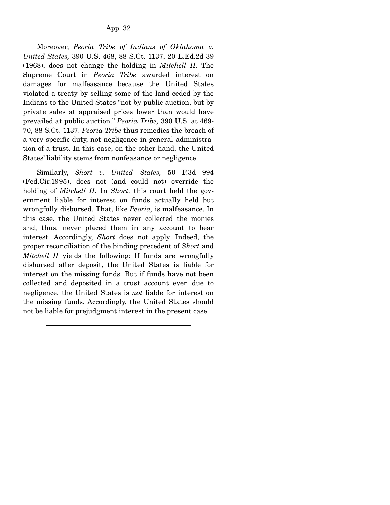Moreover, *Peoria Tribe of Indians of Oklahoma v. United States,* 390 U.S. 468, 88 S.Ct. 1137, 20 L.Ed.2d 39 (1968), does not change the holding in *Mitchell II.* The Supreme Court in *Peoria Tribe* awarded interest on damages for malfeasance because the United States violated a treaty by selling some of the land ceded by the Indians to the United States "not by public auction, but by private sales at appraised prices lower than would have prevailed at public auction." *Peoria Tribe,* 390 U.S. at 469- 70, 88 S.Ct. 1137. *Peoria Tribe* thus remedies the breach of a very specific duty, not negligence in general administration of a trust. In this case, on the other hand, the United States' liability stems from nonfeasance or negligence.

 Similarly, *Short v. United States,* 50 F.3d 994 (Fed.Cir.1995), does not (and could not) override the holding of *Mitchell II.* In *Short,* this court held the government liable for interest on funds actually held but wrongfully disbursed. That, like *Peoria,* is malfeasance. In this case, the United States never collected the monies and, thus, never placed them in any account to bear interest. Accordingly, *Short* does not apply. Indeed, the proper reconciliation of the binding precedent of *Short* and *Mitchell II* yields the following: If funds are wrongfully disbursed after deposit, the United States is liable for interest on the missing funds. But if funds have not been collected and deposited in a trust account even due to negligence, the United States is *not* liable for interest on the missing funds. Accordingly, the United States should not be liable for prejudgment interest in the present case.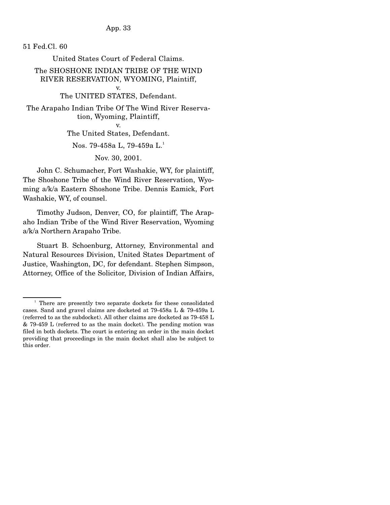App. 33

51 Fed.Cl. 60

United States Court of Federal Claims.

The SHOSHONE INDIAN TRIBE OF THE WIND RIVER RESERVATION, WYOMING, Plaintiff, v.

The UNITED STATES, Defendant.

The Arapaho Indian Tribe Of The Wind River Reservation, Wyoming, Plaintiff,

v.

The United States, Defendant.

Nos. 79-458a L, 79-459a L.<sup>1</sup>

Nov. 30, 2001.

 John C. Schumacher, Fort Washakie, WY, for plaintiff, The Shoshone Tribe of the Wind River Reservation, Wyoming a/k/a Eastern Shoshone Tribe. Dennis Eamick, Fort Washakie, WY, of counsel.

 Timothy Judson, Denver, CO, for plaintiff, The Arapaho Indian Tribe of the Wind River Reservation, Wyoming a/k/a Northern Arapaho Tribe.

 Stuart B. Schoenburg, Attorney, Environmental and Natural Resources Division, United States Department of Justice, Washington, DC, for defendant. Stephen Simpson, Attorney, Office of the Solicitor, Division of Indian Affairs,

<sup>&</sup>lt;sup>1</sup> There are presently two separate dockets for these consolidated cases. Sand and gravel claims are docketed at 79-458a L & 79-459a L (referred to as the subdocket). All other claims are docketed as 79-458 L & 79-459 L (referred to as the main docket). The pending motion was filed in both dockets. The court is entering an order in the main docket providing that proceedings in the main docket shall also be subject to this order.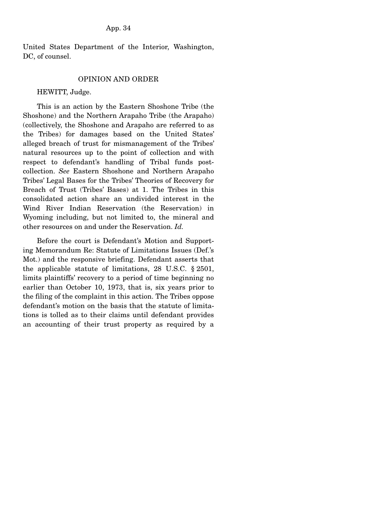United States Department of the Interior, Washington, DC, of counsel.

#### OPINION AND ORDER

#### HEWITT, Judge.

 This is an action by the Eastern Shoshone Tribe (the Shoshone) and the Northern Arapaho Tribe (the Arapaho) (collectively, the Shoshone and Arapaho are referred to as the Tribes) for damages based on the United States' alleged breach of trust for mismanagement of the Tribes' natural resources up to the point of collection and with respect to defendant's handling of Tribal funds postcollection. *See* Eastern Shoshone and Northern Arapaho Tribes' Legal Bases for the Tribes' Theories of Recovery for Breach of Trust (Tribes' Bases) at 1. The Tribes in this consolidated action share an undivided interest in the Wind River Indian Reservation (the Reservation) in Wyoming including, but not limited to, the mineral and other resources on and under the Reservation. *Id.*

 Before the court is Defendant's Motion and Supporting Memorandum Re: Statute of Limitations Issues (Def.'s Mot.) and the responsive briefing. Defendant asserts that the applicable statute of limitations, 28 U.S.C. § 2501, limits plaintiffs' recovery to a period of time beginning no earlier than October 10, 1973, that is, six years prior to the filing of the complaint in this action. The Tribes oppose defendant's motion on the basis that the statute of limitations is tolled as to their claims until defendant provides an accounting of their trust property as required by a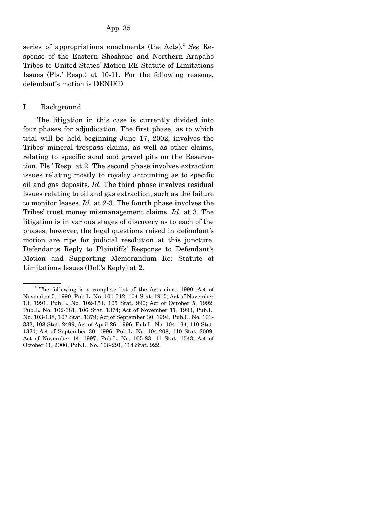#### App. 35

series of appropriations enactments (the Acts).<sup>2</sup> See Response of the Eastern Shoshone and Northern Arapaho Tribes to United States' Motion RE Statute of Limitations Issues (Pls.' Resp.) at 10-11. For the following reasons, defendant's motion is DENIED.

### I. Background

 The litigation in this case is currently divided into four phases for adjudication. The first phase, as to which trial will be held beginning June 17, 2002, involves the Tribes' mineral trespass claims, as well as other claims, relating to specific sand and gravel pits on the Reservation. Pls.' Resp. at 2. The second phase involves extraction issues relating mostly to royalty accounting as to specific oil and gas deposits. *Id.* The third phase involves residual issues relating to oil and gas extraction, such as the failure to monitor leases. *Id.* at 2-3. The fourth phase involves the Tribes' trust money mismanagement claims. *Id.* at 3. The litigation is in various stages of discovery as to each of the phases; however, the legal questions raised in defendant's motion are ripe for judicial resolution at this juncture. Defendants Reply to Plaintiffs' Response to Defendant's Motion and Supporting Memorandum Re: Statute of Limitations Issues (Def.'s Reply) at 2.

<sup>&</sup>lt;sup>2</sup> The following is a complete list of the Acts since 1990: Act of November 5, 1990, Pub.L. No. 101-512, 104 Stat. 1915; Act of November 13, 1991, Pub.L. No. 102-154, 105 Stat. 990; Act of October 5, 1992, Pub.L. No. 102-381, 106 Stat. 1374; Act of November 11, 1993, Pub.L. No. 103-138, 107 Stat. 1379; Act of September 30, 1994, Pub.L. No. 103- 332, 108 Stat. 2499; Act of April 26, 1996, Pub.L. No. 104-134, 110 Stat. 1321; Act of September 30, 1996, Pub.L. No. 104-208, 110 Stat. 3009; Act of November 14, 1997, Pub.L. No. 105-83, 11 Stat. 1543; Act of October 11, 2000, Pub.L. No. 106-291, 114 Stat. 922.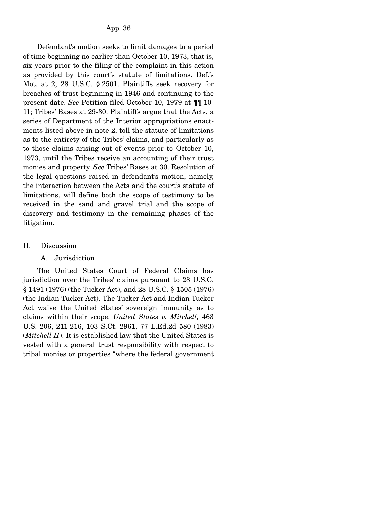Defendant's motion seeks to limit damages to a period of time beginning no earlier than October 10, 1973, that is, six years prior to the filing of the complaint in this action as provided by this court's statute of limitations. Def.'s Mot. at 2; 28 U.S.C. § 2501. Plaintiffs seek recovery for breaches of trust beginning in 1946 and continuing to the present date. *See* Petition filed October 10, 1979 at ¶¶ 10- 11; Tribes' Bases at 29-30. Plaintiffs argue that the Acts, a series of Department of the Interior appropriations enactments listed above in note 2, toll the statute of limitations as to the entirety of the Tribes' claims, and particularly as to those claims arising out of events prior to October 10, 1973, until the Tribes receive an accounting of their trust monies and property. *See* Tribes' Bases at 30. Resolution of the legal questions raised in defendant's motion, namely, the interaction between the Acts and the court's statute of limitations, will define both the scope of testimony to be received in the sand and gravel trial and the scope of discovery and testimony in the remaining phases of the litigation.

II. Discussion

## A. Jurisdiction

 The United States Court of Federal Claims has jurisdiction over the Tribes' claims pursuant to 28 U.S.C. § 1491 (1976) (the Tucker Act), and 28 U.S.C. § 1505 (1976) (the Indian Tucker Act). The Tucker Act and Indian Tucker Act waive the United States' sovereign immunity as to claims within their scope. *United States v. Mitchell,* 463 U.S. 206, 211-216, 103 S.Ct. 2961, 77 L.Ed.2d 580 (1983) (*Mitchell II*). It is established law that the United States is vested with a general trust responsibility with respect to tribal monies or properties "where the federal government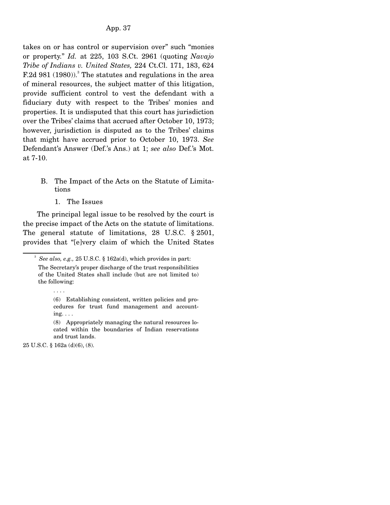takes on or has control or supervision over" such "monies or property." *Id.* at 225, 103 S.Ct. 2961 (quoting *Navajo Tribe of Indians v. United States,* 224 Ct.Cl. 171, 183, 624 F.2d 981  $(1980)$ .<sup>3</sup> The statutes and regulations in the area of mineral resources, the subject matter of this litigation, provide sufficient control to vest the defendant with a fiduciary duty with respect to the Tribes' monies and properties. It is undisputed that this court has jurisdiction over the Tribes' claims that accrued after October 10, 1973; however, jurisdiction is disputed as to the Tribes' claims that might have accrued prior to October 10, 1973. *See* Defendant's Answer (Def.'s Ans.) at 1; *see also* Def.'s Mot. at 7-10.

- B. The Impact of the Acts on the Statute of Limitations
	- 1. The Issues

 The principal legal issue to be resolved by the court is the precise impact of the Acts on the statute of limitations. The general statute of limitations, 28 U.S.C. § 2501, provides that "[e]very claim of which the United States

. . . .

<sup>&</sup>lt;sup>3</sup> See also, e.g., 25 U.S.C. § 162a(d), which provides in part:

The Secretary's proper discharge of the trust responsibilities of the United States shall include (but are not limited to) the following:

<sup>(6)</sup> Establishing consistent, written policies and procedures for trust fund management and accounting.  $\ldots$ 

<sup>(8)</sup> Appropriately managing the natural resources located within the boundaries of Indian reservations and trust lands.

<sup>25</sup> U.S.C. § 162a (d)(6), (8).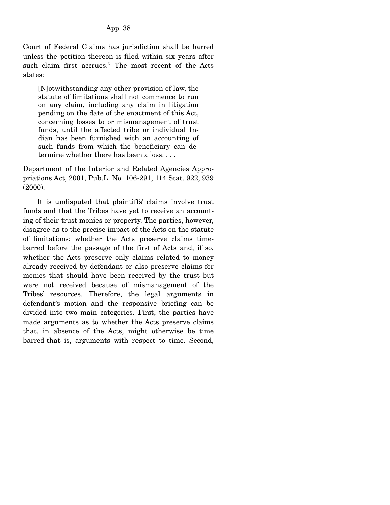Court of Federal Claims has jurisdiction shall be barred unless the petition thereon is filed within six years after such claim first accrues." The most recent of the Acts states:

[N]otwithstanding any other provision of law, the statute of limitations shall not commence to run on any claim, including any claim in litigation pending on the date of the enactment of this Act, concerning losses to or mismanagement of trust funds, until the affected tribe or individual Indian has been furnished with an accounting of such funds from which the beneficiary can determine whether there has been a loss. . . .

Department of the Interior and Related Agencies Appropriations Act, 2001, Pub.L. No. 106-291, 114 Stat. 922, 939 (2000).

 It is undisputed that plaintiffs' claims involve trust funds and that the Tribes have yet to receive an accounting of their trust monies or property. The parties, however, disagree as to the precise impact of the Acts on the statute of limitations: whether the Acts preserve claims timebarred before the passage of the first of Acts and, if so, whether the Acts preserve only claims related to money already received by defendant or also preserve claims for monies that should have been received by the trust but were not received because of mismanagement of the Tribes' resources. Therefore, the legal arguments in defendant's motion and the responsive briefing can be divided into two main categories. First, the parties have made arguments as to whether the Acts preserve claims that, in absence of the Acts, might otherwise be time barred-that is, arguments with respect to time. Second,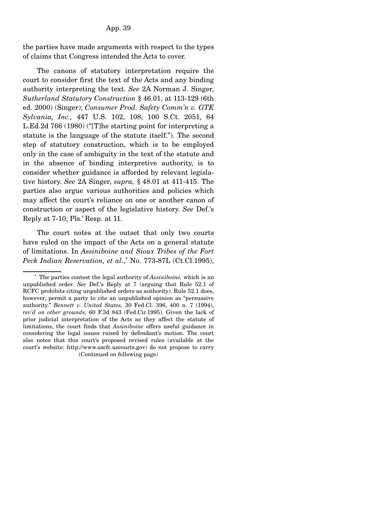the parties have made arguments with respect to the types of claims that Congress intended the Acts to cover.

 The canons of statutory interpretation require the court to consider first the text of the Acts and any binding authority interpreting the text. *See* 2A Norman J. Singer, *Sutherland Statutory Construction* § 46.01, at 113-129 (6th ed. 2000) (Singer); *Consumer Prod. Safety Comm'n v. GTE Sylvania, Inc.,* 447 U.S. 102, 108, 100 S.Ct. 2051, 64 L.Ed.2d 766 (1980) ("[T]he starting point for interpreting a statute is the language of the statute itself."). The second step of statutory construction, which is to be employed only in the case of ambiguity in the text of the statute and in the absence of binding interpretive authority, is to consider whether guidance is afforded by relevant legislative history. *See* 2A Singer, *supra,* § 48.01 at 411-415. The parties also argue various authorities and policies which may affect the court's reliance on one or another canon of construction or aspect of the legislative history. *See* Def.'s Reply at 7-10; Pls.' Resp. at 11.

 The court notes at the outset that only two courts have ruled on the impact of the Acts on a general statute of limitations. In *Assiniboine and Sioux Tribes of the Fort*  Peck Indian Reservation, et al.,<sup>4</sup> No. 773-87L (Ct.Cl.1995),

<sup>4</sup> The parties contest the legal authority of *Assiniboine,* which is an unpublished order. *See* Def.'s Reply at 7 (arguing that Rule 52.1 of RCFC prohibits citing unpublished orders as authority). Rule 52.1 does, however, permit a party to cite an unpublished opinion as "persuasive authority." *Bennett v. United States,* 30 Fed.Cl. 396, 400 n. 7 (1994), *rev'd on other grounds,* 60 F.3d 843 (Fed.Cir.1995). Given the lack of prior judicial interpretation of the Acts as they affect the statute of limitations, the court finds that *Assiniboine* offers useful guidance in considering the legal issues raised by defendant's motion. The court also notes that this court's proposed revised rules (available at the court's website: http://www.uscfc.uscourts.gov) do not propose to carry (Continued on following page)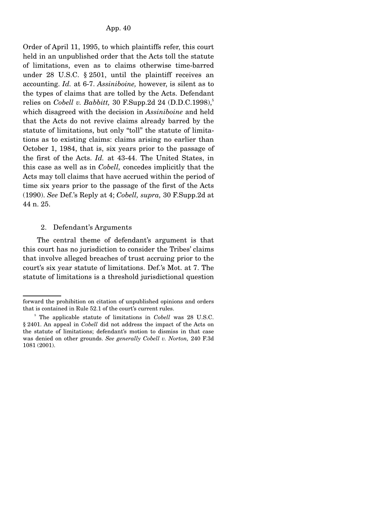Order of April 11, 1995, to which plaintiffs refer, this court held in an unpublished order that the Acts toll the statute of limitations, even as to claims otherwise time-barred under 28 U.S.C. § 2501, until the plaintiff receives an accounting. *Id.* at 6-7. *Assiniboine,* however, is silent as to the types of claims that are tolled by the Acts. Defendant relies on *Cobell v. Babbitt*, 30 F.Supp.2d 24  $(D.D.C.1998)$ ,<sup>5</sup> which disagreed with the decision in *Assiniboine* and held that the Acts do not revive claims already barred by the statute of limitations, but only "toll" the statute of limitations as to existing claims: claims arising no earlier than October 1, 1984, that is, six years prior to the passage of the first of the Acts. *Id.* at 43-44. The United States, in this case as well as in *Cobell,* concedes implicitly that the Acts may toll claims that have accrued within the period of time six years prior to the passage of the first of the Acts (1990). *See* Def.'s Reply at 4; *Cobell, supra,* 30 F.Supp.2d at 44 n. 25.

## 2. Defendant's Arguments

 The central theme of defendant's argument is that this court has no jurisdiction to consider the Tribes' claims that involve alleged breaches of trust accruing prior to the court's six year statute of limitations. Def.'s Mot. at 7. The statute of limitations is a threshold jurisdictional question

forward the prohibition on citation of unpublished opinions and orders that is contained in Rule 52.1 of the court's current rules.

<sup>&</sup>lt;sup>5</sup> The applicable statute of limitations in *Cobell* was 28 U.S.C. § 2401. An appeal in *Cobell* did not address the impact of the Acts on the statute of limitations; defendant's motion to dismiss in that case was denied on other grounds. *See generally Cobell v. Norton,* 240 F.3d 1081 (2001).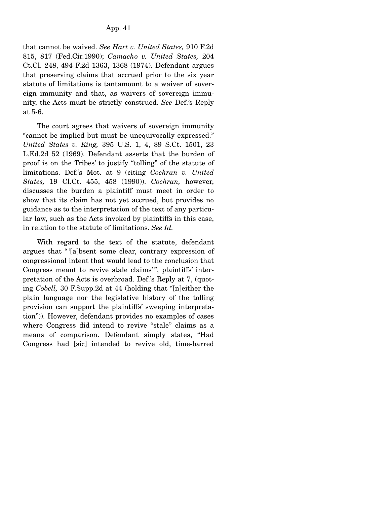that cannot be waived. *See Hart v. United States,* 910 F.2d 815, 817 (Fed.Cir.1990); *Camacho v. United States,* 204 Ct.Cl. 248, 494 F.2d 1363, 1368 (1974). Defendant argues that preserving claims that accrued prior to the six year statute of limitations is tantamount to a waiver of sovereign immunity and that, as waivers of sovereign immunity, the Acts must be strictly construed. *See* Def.'s Reply at 5-6.

 The court agrees that waivers of sovereign immunity "cannot be implied but must be unequivocally expressed." *United States v. King,* 395 U.S. 1, 4, 89 S.Ct. 1501, 23 L.Ed.2d 52 (1969). Defendant asserts that the burden of proof is on the Tribes' to justify "tolling" of the statute of limitations. Def.'s Mot. at 9 (citing *Cochran v. United States,* 19 Cl.Ct. 455, 458 (1990)). *Cochran,* however, discusses the burden a plaintiff must meet in order to show that its claim has not yet accrued, but provides no guidance as to the interpretation of the text of any particular law, such as the Acts invoked by plaintiffs in this case, in relation to the statute of limitations. *See Id.*

 With regard to the text of the statute, defendant argues that " '[a]bsent some clear, contrary expression of congressional intent that would lead to the conclusion that Congress meant to revive stale claims'", plaintiffs' interpretation of the Acts is overbroad. Def.'s Reply at 7, (quoting *Cobell,* 30 F.Supp.2d at 44 (holding that "[n]either the plain language nor the legislative history of the tolling provision can support the plaintiffs' sweeping interpretation")). However, defendant provides no examples of cases where Congress did intend to revive "stale" claims as a means of comparison. Defendant simply states, "Had Congress had [sic] intended to revive old, time-barred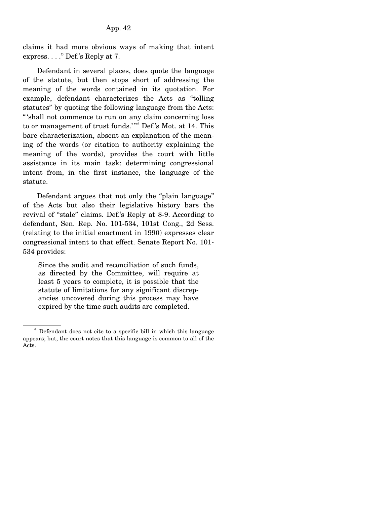claims it had more obvious ways of making that intent express. . . ." Def.'s Reply at 7.

 Defendant in several places, does quote the language of the statute, but then stops short of addressing the meaning of the words contained in its quotation. For example, defendant characterizes the Acts as "tolling statutes" by quoting the following language from the Acts: " 'shall not commence to run on any claim concerning loss to or management of trust funds.'"<sup>6</sup> Def.'s Mot. at 14. This bare characterization, absent an explanation of the meaning of the words (or citation to authority explaining the meaning of the words), provides the court with little assistance in its main task: determining congressional intent from, in the first instance, the language of the statute.

 Defendant argues that not only the "plain language" of the Acts but also their legislative history bars the revival of "stale" claims. Def.'s Reply at 8-9. According to defendant, Sen. Rep. No. 101-534, 101st Cong., 2d Sess. (relating to the initial enactment in 1990) expresses clear congressional intent to that effect. Senate Report No. 101- 534 provides:

Since the audit and reconciliation of such funds, as directed by the Committee, will require at least 5 years to complete, it is possible that the statute of limitations for any significant discrepancies uncovered during this process may have expired by the time such audits are completed.

<sup>&</sup>lt;sup>6</sup> Defendant does not cite to a specific bill in which this language appears; but, the court notes that this language is common to all of the Acts.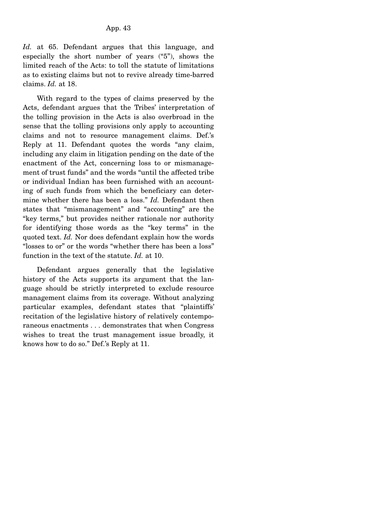*Id.* at 65. Defendant argues that this language, and especially the short number of years ("5"), shows the limited reach of the Acts: to toll the statute of limitations as to existing claims but not to revive already time-barred claims. *Id.* at 18.

 With regard to the types of claims preserved by the Acts, defendant argues that the Tribes' interpretation of the tolling provision in the Acts is also overbroad in the sense that the tolling provisions only apply to accounting claims and not to resource management claims. Def.'s Reply at 11. Defendant quotes the words "any claim, including any claim in litigation pending on the date of the enactment of the Act, concerning loss to or mismanagement of trust funds" and the words "until the affected tribe or individual Indian has been furnished with an accounting of such funds from which the beneficiary can determine whether there has been a loss." *Id.* Defendant then states that "mismanagement" and "accounting" are the "key terms," but provides neither rationale nor authority for identifying those words as the "key terms" in the quoted text. *Id.* Nor does defendant explain how the words "losses to or" or the words "whether there has been a loss" function in the text of the statute. *Id.* at 10.

 Defendant argues generally that the legislative history of the Acts supports its argument that the language should be strictly interpreted to exclude resource management claims from its coverage. Without analyzing particular examples, defendant states that "plaintiffs' recitation of the legislative history of relatively contemporaneous enactments . . . demonstrates that when Congress wishes to treat the trust management issue broadly, it knows how to do so." Def.'s Reply at 11.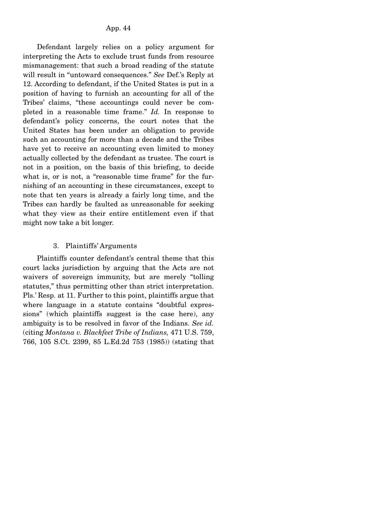Defendant largely relies on a policy argument for interpreting the Acts to exclude trust funds from resource mismanagement: that such a broad reading of the statute will result in "untoward consequences." *See* Def.'s Reply at 12. According to defendant, if the United States is put in a position of having to furnish an accounting for all of the Tribes' claims, "these accountings could never be completed in a reasonable time frame." *Id.* In response to defendant's policy concerns, the court notes that the United States has been under an obligation to provide such an accounting for more than a decade and the Tribes have yet to receive an accounting even limited to money actually collected by the defendant as trustee. The court is not in a position, on the basis of this briefing, to decide what is, or is not, a "reasonable time frame" for the furnishing of an accounting in these circumstances, except to note that ten years is already a fairly long time, and the Tribes can hardly be faulted as unreasonable for seeking what they view as their entire entitlement even if that might now take a bit longer.

# 3. Plaintiffs' Arguments

 Plaintiffs counter defendant's central theme that this court lacks jurisdiction by arguing that the Acts are not waivers of sovereign immunity, but are merely "tolling statutes," thus permitting other than strict interpretation. Pls.' Resp. at 11. Further to this point, plaintiffs argue that where language in a statute contains "doubtful expressions" (which plaintiffs suggest is the case here), any ambiguity is to be resolved in favor of the Indians. *See id.* (citing *Montana v. Blackfeet Tribe of Indians,* 471 U.S. 759, 766, 105 S.Ct. 2399, 85 L.Ed.2d 753 (1985)) (stating that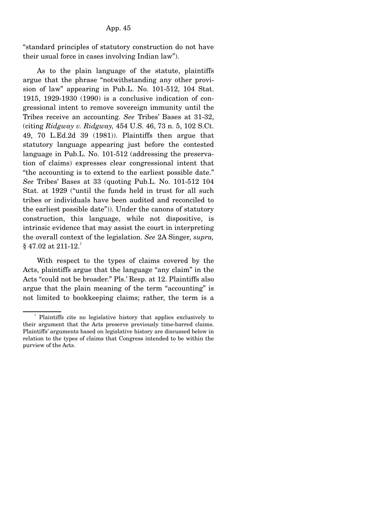"standard principles of statutory construction do not have their usual force in cases involving Indian law").

 As to the plain language of the statute, plaintiffs argue that the phrase "notwithstanding any other provision of law" appearing in Pub.L. No. 101-512, 104 Stat. 1915, 1929-1930 (1990) is a conclusive indication of congressional intent to remove sovereign immunity until the Tribes receive an accounting. *See* Tribes' Bases at 31-32, (citing *Ridgway v. Ridgway,* 454 U.S. 46, 73 n. 5, 102 S.Ct. 49, 70 L.Ed.2d 39 (1981)). Plaintiffs then argue that statutory language appearing just before the contested language in Pub.L. No. 101-512 (addressing the preservation of claims) expresses clear congressional intent that "the accounting is to extend to the earliest possible date." *See* Tribes' Bases at 33 (quoting Pub.L. No. 101-512 104 Stat. at 1929 ("until the funds held in trust for all such tribes or individuals have been audited and reconciled to the earliest possible date")). Under the canons of statutory construction, this language, while not dispositive, is intrinsic evidence that may assist the court in interpreting the overall context of the legislation. *See* 2A Singer, *supra,*  $§$  47.02 at 211-12.<sup>7</sup>

 With respect to the types of claims covered by the Acts, plaintiffs argue that the language "any claim" in the Acts "could not be broader." Pls.' Resp. at 12. Plaintiffs also argue that the plain meaning of the term "accounting" is not limited to bookkeeping claims; rather, the term is a

<sup>7</sup> Plaintiffs cite no legislative history that applies exclusively to their argument that the Acts preserve previously time-barred claims. Plaintiffs' arguments based on legislative history are discussed below in relation to the types of claims that Congress intended to be within the purview of the Acts.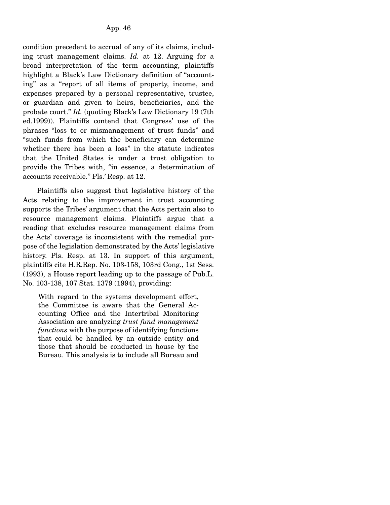condition precedent to accrual of any of its claims, including trust management claims. *Id.* at 12. Arguing for a broad interpretation of the term accounting, plaintiffs highlight a Black's Law Dictionary definition of "accounting" as a "report of all items of property, income, and expenses prepared by a personal representative, trustee, or guardian and given to heirs, beneficiaries, and the probate court." *Id.* (quoting Black's Law Dictionary 19 (7th ed.1999)). Plaintiffs contend that Congress' use of the phrases "loss to or mismanagement of trust funds" and "such funds from which the beneficiary can determine whether there has been a loss" in the statute indicates that the United States is under a trust obligation to provide the Tribes with, "in essence, a determination of accounts receivable." Pls.' Resp. at 12.

 Plaintiffs also suggest that legislative history of the Acts relating to the improvement in trust accounting supports the Tribes' argument that the Acts pertain also to resource management claims. Plaintiffs argue that a reading that excludes resource management claims from the Acts' coverage is inconsistent with the remedial purpose of the legislation demonstrated by the Acts' legislative history. Pls. Resp. at 13. In support of this argument, plaintiffs cite H.R.Rep. No. 103-158, 103rd Cong., 1st Sess. (1993), a House report leading up to the passage of Pub.L. No. 103-138, 107 Stat. 1379 (1994), providing:

With regard to the systems development effort, the Committee is aware that the General Accounting Office and the Intertribal Monitoring Association are analyzing *trust fund management functions* with the purpose of identifying functions that could be handled by an outside entity and those that should be conducted in house by the Bureau. This analysis is to include all Bureau and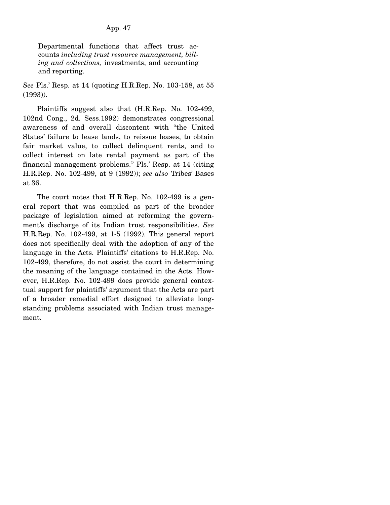Departmental functions that affect trust accounts *including trust resource management, billing and collections,* investments, and accounting and reporting.

*See* Pls.' Resp. at 14 (quoting H.R.Rep. No. 103-158, at 55 (1993)).

 Plaintiffs suggest also that (H.R.Rep. No. 102-499, 102nd Cong., 2d. Sess.1992) demonstrates congressional awareness of and overall discontent with "the United States' failure to lease lands, to reissue leases, to obtain fair market value, to collect delinquent rents, and to collect interest on late rental payment as part of the financial management problems." Pls.' Resp. at 14 (citing H.R.Rep. No. 102-499, at 9 (1992)); *see also* Tribes' Bases at 36.

 The court notes that H.R.Rep. No. 102-499 is a general report that was compiled as part of the broader package of legislation aimed at reforming the government's discharge of its Indian trust responsibilities. *See* H.R.Rep. No. 102-499, at 1-5 (1992). This general report does not specifically deal with the adoption of any of the language in the Acts. Plaintiffs' citations to H.R.Rep. No. 102-499, therefore, do not assist the court in determining the meaning of the language contained in the Acts. However, H.R.Rep. No. 102-499 does provide general contextual support for plaintiffs' argument that the Acts are part of a broader remedial effort designed to alleviate longstanding problems associated with Indian trust management.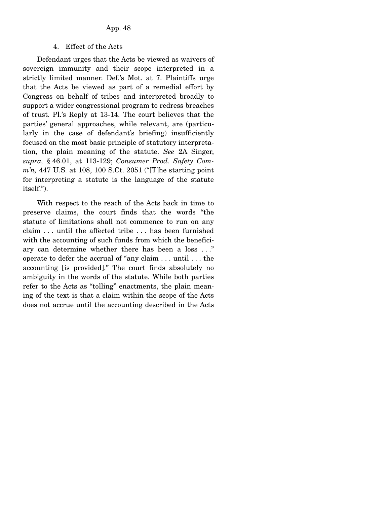### 4. Effect of the Acts

 Defendant urges that the Acts be viewed as waivers of sovereign immunity and their scope interpreted in a strictly limited manner. Def.'s Mot. at 7. Plaintiffs urge that the Acts be viewed as part of a remedial effort by Congress on behalf of tribes and interpreted broadly to support a wider congressional program to redress breaches of trust. Pl.'s Reply at 13-14. The court believes that the parties' general approaches, while relevant, are (particularly in the case of defendant's briefing) insufficiently focused on the most basic principle of statutory interpretation, the plain meaning of the statute. *See* 2A Singer, *supra,* § 46.01, at 113-129; *Consumer Prod. Safety Comm'n,* 447 U.S. at 108, 100 S.Ct. 2051 ("[T]he starting point for interpreting a statute is the language of the statute itself.").

 With respect to the reach of the Acts back in time to preserve claims, the court finds that the words "the statute of limitations shall not commence to run on any claim . . . until the affected tribe . . . has been furnished with the accounting of such funds from which the beneficiary can determine whether there has been a loss . . ." operate to defer the accrual of "any claim . . . until . . . the accounting [is provided]." The court finds absolutely no ambiguity in the words of the statute. While both parties refer to the Acts as "tolling" enactments, the plain meaning of the text is that a claim within the scope of the Acts does not accrue until the accounting described in the Acts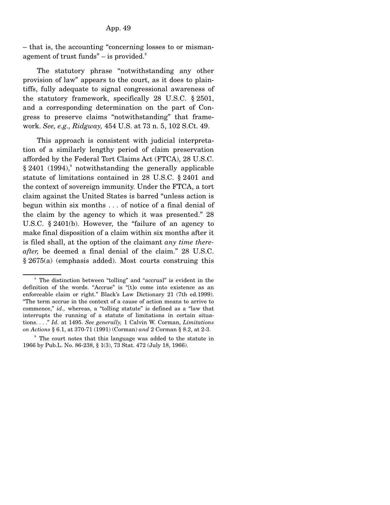– that is, the accounting "concerning losses to or mismanagement of trust funds"  $-$  is provided.<sup>8</sup>

 The statutory phrase "notwithstanding any other provision of law" appears to the court, as it does to plaintiffs, fully adequate to signal congressional awareness of the statutory framework, specifically 28 U.S.C. § 2501, and a corresponding determination on the part of Congress to preserve claims "notwithstanding" that framework. *See, e.g., Ridgway,* 454 U.S. at 73 n. 5, 102 S.Ct. 49.

 This approach is consistent with judicial interpretation of a similarly lengthy period of claim preservation afforded by the Federal Tort Claims Act (FTCA), 28 U.S.C.  $§ 2401$  (1994),<sup>9</sup> notwithstanding the generally applicable statute of limitations contained in 28 U.S.C. § 2401 and the context of sovereign immunity. Under the FTCA, a tort claim against the United States is barred "unless action is begun within six months . . . of notice of a final denial of the claim by the agency to which it was presented." 28 U.S.C. § 2401(b). However, the "failure of an agency to make final disposition of a claim within six months after it is filed shall, at the option of the claimant *any time thereafter,* be deemed a final denial of the claim." 28 U.S.C. § 2675(a) (emphasis added). Most courts construing this

<sup>8</sup> The distinction between "tolling" and "accrual" is evident in the definition of the words. "Accrue" is "[t]o come into existence as an enforceable claim or right." Black's Law Dictionary 21 (7th ed.1999). "The term accrue in the context of a cause of action means to arrive to commence," *id.,* whereas, a "tolling statute" is defined as a "law that interrupts the running of a statute of limitations in certain situations. . . ." *Id.* at 1495. *See generally,* 1 Calvin W. Corman, *Limitations on Actions* § 6.1, at 370-71 (1991) (Corman) *and* 2 Corman § 8.2, at 2-3.

<sup>&</sup>lt;sup>9</sup> The court notes that this language was added to the statute in 1966 by Pub.L. No. 86-238, § 1(3), 73 Stat. 472 (July 18, 1966).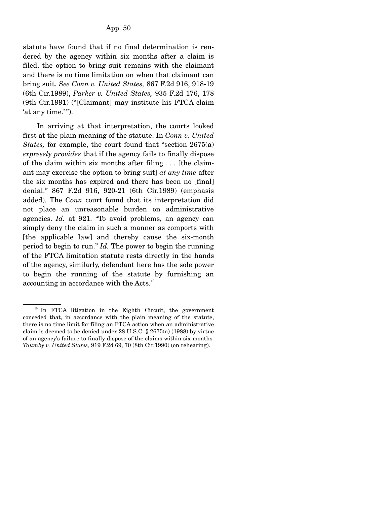statute have found that if no final determination is rendered by the agency within six months after a claim is filed, the option to bring suit remains with the claimant and there is no time limitation on when that claimant can bring suit. *See Conn v. United States,* 867 F.2d 916, 918-19 (6th Cir.1989), *Parker v. United States,* 935 F.2d 176, 178 (9th Cir.1991) ("[Claimant] may institute his FTCA claim 'at any time.'").

 In arriving at that interpretation, the courts looked first at the plain meaning of the statute. In *Conn v. United States,* for example, the court found that "section 2675(a) *expressly provides* that if the agency fails to finally dispose of the claim within six months after filing . . . [the claimant may exercise the option to bring suit] *at any time* after the six months has expired and there has been no [final] denial." 867 F.2d 916, 920-21 (6th Cir.1989) (emphasis added). The *Conn* court found that its interpretation did not place an unreasonable burden on administrative agencies. *Id.* at 921. "To avoid problems, an agency can simply deny the claim in such a manner as comports with [the applicable law] and thereby cause the six-month period to begin to run." *Id.* The power to begin the running of the FTCA limitation statute rests directly in the hands of the agency, similarly, defendant here has the sole power to begin the running of the statute by furnishing an accounting in accordance with the Acts.<sup>10</sup>

<sup>&</sup>lt;sup>10</sup> In FTCA litigation in the Eighth Circuit, the government conceded that, in accordance with the plain meaning of the statute, there is no time limit for filing an FTCA action when an administrative claim is deemed to be denied under 28 U.S.C.  $\S$  2675(a) (1988) by virtue of an agency's failure to finally dispose of the claims within six months. *Taumby v. United States,* 919 F.2d 69, 70 (8th Cir.1990) (on rehearing).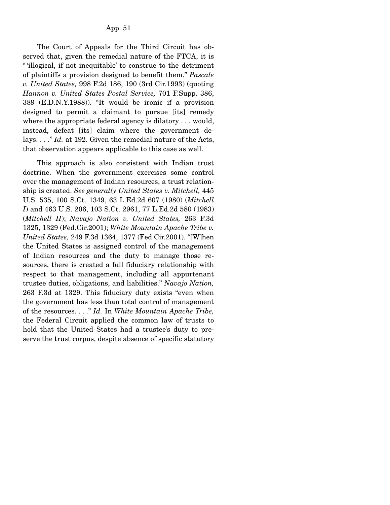The Court of Appeals for the Third Circuit has observed that, given the remedial nature of the FTCA, it is " 'illogical, if not inequitable' to construe to the detriment of plaintiffs a provision designed to benefit them." *Pascale v. United States,* 998 F.2d 186, 190 (3rd Cir.1993) (quoting *Hannon v. United States Postal Service,* 701 F.Supp. 386, 389 (E.D.N.Y.1988)). "It would be ironic if a provision designed to permit a claimant to pursue [its] remedy where the appropriate federal agency is dilatory . . . would, instead, defeat [its] claim where the government delays. . . ." *Id.* at 192. Given the remedial nature of the Acts, that observation appears applicable to this case as well.

 This approach is also consistent with Indian trust doctrine. When the government exercises some control over the management of Indian resources, a trust relationship is created. *See generally United States v. Mitchell,* 445 U.S. 535, 100 S.Ct. 1349, 63 L.Ed.2d 607 (1980) (*Mitchell I*) and 463 U.S. 206, 103 S.Ct. 2961, 77 L.Ed.2d 580 (1983) (*Mitchell II*); *Navajo Nation v. United States,* 263 F.3d 1325, 1329 (Fed.Cir.2001); *White Mountain Apache Tribe v. United States,* 249 F.3d 1364, 1377 (Fed.Cir.2001). "[W]hen the United States is assigned control of the management of Indian resources and the duty to manage those resources, there is created a full fiduciary relationship with respect to that management, including all appurtenant trustee duties, obligations, and liabilities." *Navajo Nation,* 263 F.3d at 1329. This fiduciary duty exists "even when the government has less than total control of management of the resources. . . ." *Id.* In *White Mountain Apache Tribe,* the Federal Circuit applied the common law of trusts to hold that the United States had a trustee's duty to preserve the trust corpus, despite absence of specific statutory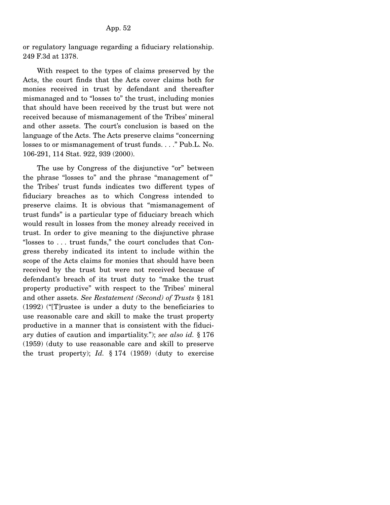or regulatory language regarding a fiduciary relationship. 249 F.3d at 1378.

 With respect to the types of claims preserved by the Acts, the court finds that the Acts cover claims both for monies received in trust by defendant and thereafter mismanaged and to "losses to" the trust, including monies that should have been received by the trust but were not received because of mismanagement of the Tribes' mineral and other assets. The court's conclusion is based on the language of the Acts. The Acts preserve claims "concerning losses to or mismanagement of trust funds. . . ." Pub.L. No. 106-291, 114 Stat. 922, 939 (2000).

 The use by Congress of the disjunctive "or" between the phrase "losses to" and the phrase "management of " the Tribes' trust funds indicates two different types of fiduciary breaches as to which Congress intended to preserve claims. It is obvious that "mismanagement of trust funds" is a particular type of fiduciary breach which would result in losses from the money already received in trust. In order to give meaning to the disjunctive phrase "losses to . . . trust funds," the court concludes that Congress thereby indicated its intent to include within the scope of the Acts claims for monies that should have been received by the trust but were not received because of defendant's breach of its trust duty to "make the trust property productive" with respect to the Tribes' mineral and other assets. *See Restatement (Second) of Trusts* § 181 (1992) ("[T]rustee is under a duty to the beneficiaries to use reasonable care and skill to make the trust property productive in a manner that is consistent with the fiduciary duties of caution and impartiality."); *see also id.* § 176 (1959) (duty to use reasonable care and skill to preserve the trust property); *Id.* § 174 (1959) (duty to exercise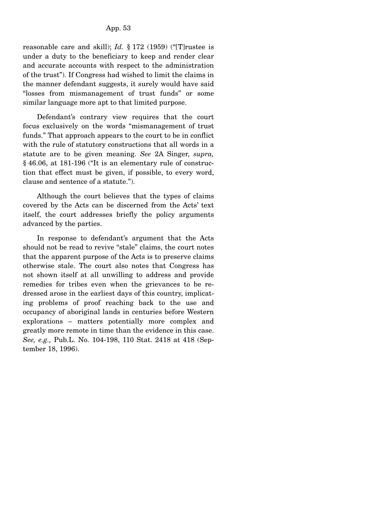reasonable care and skill); *Id.* § 172 (1959) ("[T]rustee is under a duty to the beneficiary to keep and render clear and accurate accounts with respect to the administration of the trust"). If Congress had wished to limit the claims in the manner defendant suggests, it surely would have said "losses from mismanagement of trust funds" or some similar language more apt to that limited purpose.

 Defendant's contrary view requires that the court focus exclusively on the words "mismanagement of trust funds." That approach appears to the court to be in conflict with the rule of statutory constructions that all words in a statute are to be given meaning. *See* 2A Singer, *supra,* § 46.06, at 181-196 ("It is an elementary rule of construction that effect must be given, if possible, to every word, clause and sentence of a statute.").

 Although the court believes that the types of claims covered by the Acts can be discerned from the Acts' text itself, the court addresses briefly the policy arguments advanced by the parties.

 In response to defendant's argument that the Acts should not be read to revive "stale" claims, the court notes that the apparent purpose of the Acts is to preserve claims otherwise stale. The court also notes that Congress has not shown itself at all unwilling to address and provide remedies for tribes even when the grievances to be redressed arose in the earliest days of this country, implicating problems of proof reaching back to the use and occupancy of aboriginal lands in centuries before Western explorations – matters potentially more complex and greatly more remote in time than the evidence in this case. *See, e.g.,* Pub.L. No. 104-198, 110 Stat. 2418 at 418 (September 18, 1996).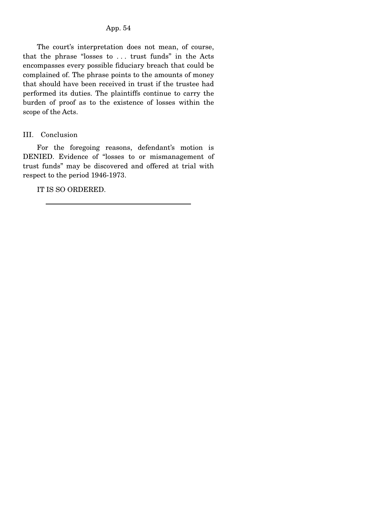The court's interpretation does not mean, of course, that the phrase "losses to . . . trust funds" in the Acts encompasses every possible fiduciary breach that could be complained of. The phrase points to the amounts of money that should have been received in trust if the trustee had performed its duties. The plaintiffs continue to carry the burden of proof as to the existence of losses within the scope of the Acts.

### III. Conclusion

 For the foregoing reasons, defendant's motion is DENIED. Evidence of "losses to or mismanagement of trust funds" may be discovered and offered at trial with respect to the period 1946-1973.

IT IS SO ORDERED.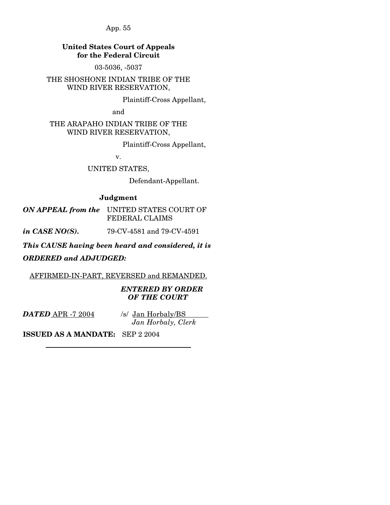# **United States Court of Appeals for the Federal Circuit**

03-5036, -5037

THE SHOSHONE INDIAN TRIBE OF THE WIND RIVER RESERVATION,

Plaintiff-Cross Appellant,

and

THE ARAPAHO INDIAN TRIBE OF THE WIND RIVER RESERVATION,

Plaintiff-Cross Appellant,

v.

UNITED STATES,

Defendant-Appellant.

# **Judgment**

*ON APPEAL from the* UNITED STATES COURT OF FEDERAL CLAIMS

*in CASE NO(S).* 79-CV-4581 and 79-CV-4591

*This CAUSE having been heard and considered, it is* 

*ORDERED and ADJUDGED:* 

AFFIRMED-IN-PART, REVERSED and REMANDED.

## *ENTERED BY ORDER OF THE COURT*

*DATED* APR -7 2004

/s/ Jan Horbaly/BS *Jan Horbaly, Clerk*

**ISSUED AS A MANDATE:** SEP 2 2004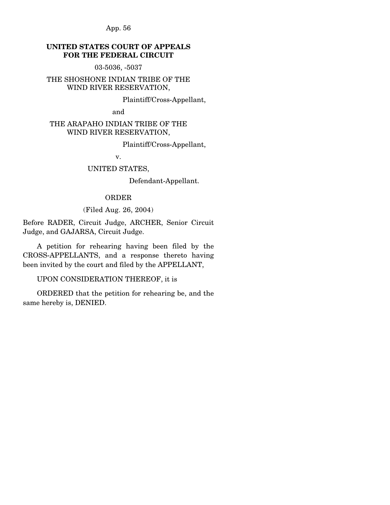# **UNITED STATES COURT OF APPEALS FOR THE FEDERAL CIRCUIT**

03-5036, -5037

THE SHOSHONE INDIAN TRIBE OF THE WIND RIVER RESERVATION,

Plaintiff/Cross-Appellant,

and

## THE ARAPAHO INDIAN TRIBE OF THE WIND RIVER RESERVATION,

Plaintiff/Cross-Appellant,

v.

### UNITED STATES,

Defendant-Appellant.

#### ORDER

## (Filed Aug. 26, 2004)

Before RADER, Circuit Judge, ARCHER, Senior Circuit Judge, and GAJARSA, Circuit Judge.

 A petition for rehearing having been filed by the CROSS-APPELLANTS, and a response thereto having been invited by the court and filed by the APPELLANT,

UPON CONSIDERATION THEREOF, it is

 ORDERED that the petition for rehearing be, and the same hereby is, DENIED.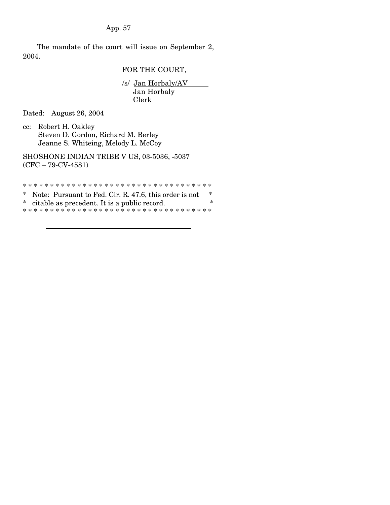The mandate of the court will issue on September 2, 2004.

FOR THE COURT,

/s/ Jan Horbaly/AV Jan Horbaly Clerk

Dated: August 26, 2004

cc: Robert H. Oakley Steven D. Gordon, Richard M. Berley Jeanne S. Whiteing, Melody L. McCoy

SHOSHONE INDIAN TRIBE V US, 03-5036, -5037 (CFC – 79-CV-4581)

\* \* \* \* \* \* \* \* \* \* \* \* \* \* \* \* \* \* \* \* \* \* \* \* \* \* \* \* \* \* \* \* \* \* \*

\* Note: Pursuant to Fed. Cir. R. 47.6, this order is not  $*$   $*$  eitable as precedent. It is a public record \* citable as precedent. It is a public record. \* \* \* \* \* \* \* \* \* \* \* \* \* \* \* \* \* \* \* \* \* \* \* \* \* \* \* \* \* \* \* \* \* \* \* \*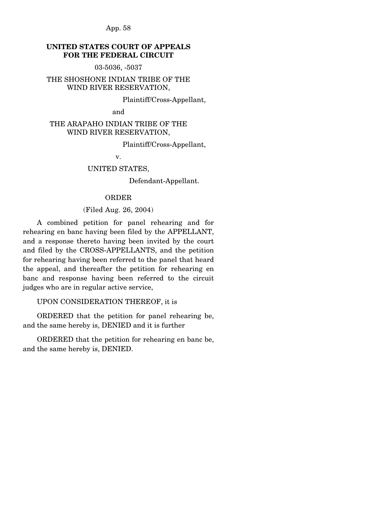# **UNITED STATES COURT OF APPEALS FOR THE FEDERAL CIRCUIT**

03-5036, -5037

## THE SHOSHONE INDIAN TRIBE OF THE WIND RIVER RESERVATION,

Plaintiff/Cross-Appellant,

and

## THE ARAPAHO INDIAN TRIBE OF THE WIND RIVER RESERVATION,

Plaintiff/Cross-Appellant,

v.

### UNITED STATES,

Defendant-Appellant.

#### ORDER

## (Filed Aug. 26, 2004)

 A combined petition for panel rehearing and for rehearing en banc having been filed by the APPELLANT, and a response thereto having been invited by the court and filed by the CROSS-APPELLANTS, and the petition for rehearing having been referred to the panel that heard the appeal, and thereafter the petition for rehearing en banc and response having been referred to the circuit judges who are in regular active service,

UPON CONSIDERATION THEREOF, it is

 ORDERED that the petition for panel rehearing be, and the same hereby is, DENIED and it is further

 ORDERED that the petition for rehearing en banc be, and the same hereby is, DENIED.